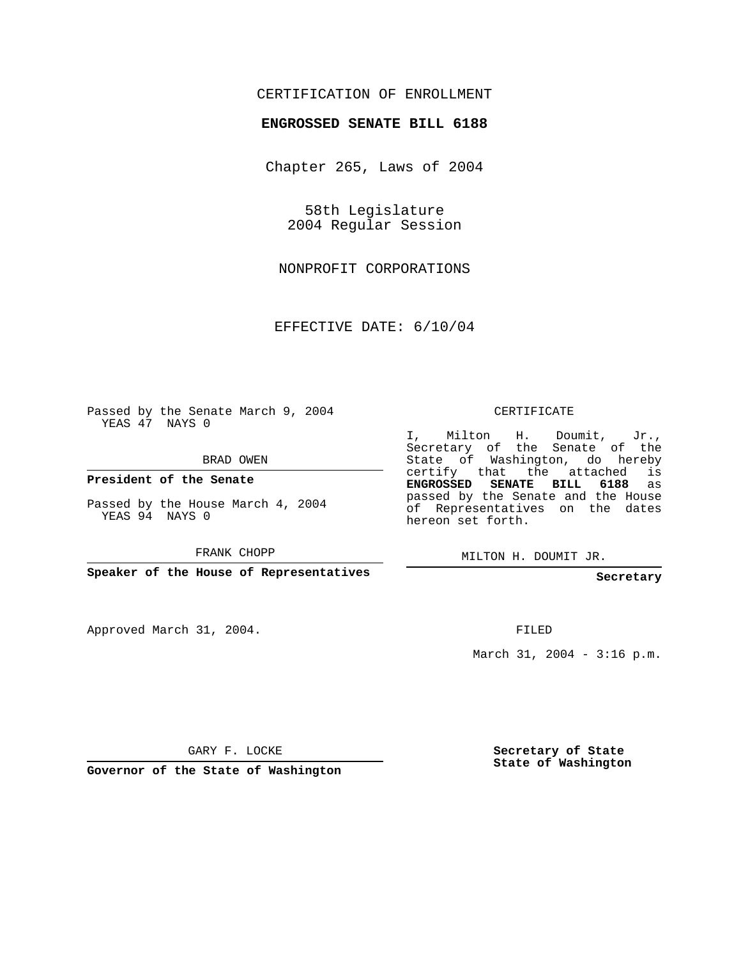## CERTIFICATION OF ENROLLMENT

## **ENGROSSED SENATE BILL 6188**

Chapter 265, Laws of 2004

58th Legislature 2004 Regular Session

NONPROFIT CORPORATIONS

EFFECTIVE DATE: 6/10/04

Passed by the Senate March 9, 2004 YEAS 47 NAYS 0

BRAD OWEN

**President of the Senate**

Passed by the House March 4, 2004 YEAS 94 NAYS 0

FRANK CHOPP

**Speaker of the House of Representatives**

Approved March 31, 2004.

CERTIFICATE

I, Milton H. Doumit, Jr., Secretary of the Senate of the State of Washington, do hereby certify that the attached is **ENGROSSED SENATE BILL 6188** as passed by the Senate and the House of Representatives on the dates hereon set forth.

MILTON H. DOUMIT JR.

**Secretary**

FILED

March 31, 2004 - 3:16 p.m.

GARY F. LOCKE

**Governor of the State of Washington**

**Secretary of State State of Washington**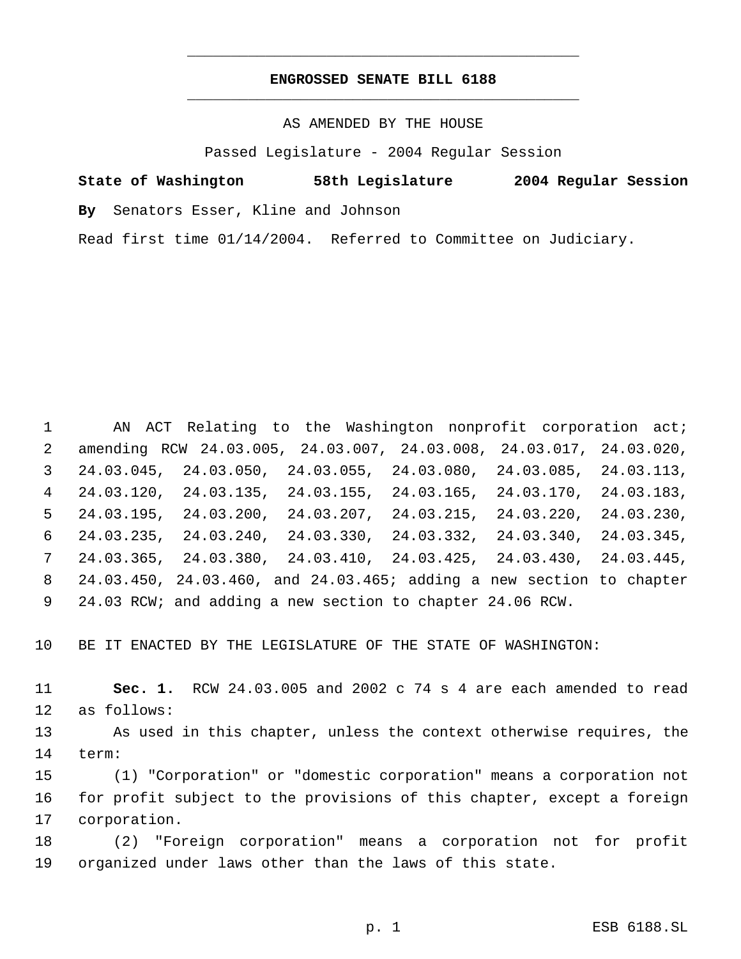## **ENGROSSED SENATE BILL 6188** \_\_\_\_\_\_\_\_\_\_\_\_\_\_\_\_\_\_\_\_\_\_\_\_\_\_\_\_\_\_\_\_\_\_\_\_\_\_\_\_\_\_\_\_\_

\_\_\_\_\_\_\_\_\_\_\_\_\_\_\_\_\_\_\_\_\_\_\_\_\_\_\_\_\_\_\_\_\_\_\_\_\_\_\_\_\_\_\_\_\_

AS AMENDED BY THE HOUSE

Passed Legislature - 2004 Regular Session

**State of Washington 58th Legislature 2004 Regular Session**

**By** Senators Esser, Kline and Johnson

Read first time 01/14/2004. Referred to Committee on Judiciary.

1 AN ACT Relating to the Washington nonprofit corporation act; amending RCW 24.03.005, 24.03.007, 24.03.008, 24.03.017, 24.03.020, 24.03.045, 24.03.050, 24.03.055, 24.03.080, 24.03.085, 24.03.113, 24.03.120, 24.03.135, 24.03.155, 24.03.165, 24.03.170, 24.03.183, 24.03.195, 24.03.200, 24.03.207, 24.03.215, 24.03.220, 24.03.230, 24.03.235, 24.03.240, 24.03.330, 24.03.332, 24.03.340, 24.03.345, 24.03.365, 24.03.380, 24.03.410, 24.03.425, 24.03.430, 24.03.445, 24.03.450, 24.03.460, and 24.03.465; adding a new section to chapter 24.03 RCW; and adding a new section to chapter 24.06 RCW.

BE IT ENACTED BY THE LEGISLATURE OF THE STATE OF WASHINGTON:

 **Sec. 1.** RCW 24.03.005 and 2002 c 74 s 4 are each amended to read as follows:

 As used in this chapter, unless the context otherwise requires, the term:

 (1) "Corporation" or "domestic corporation" means a corporation not for profit subject to the provisions of this chapter, except a foreign corporation.

 (2) "Foreign corporation" means a corporation not for profit organized under laws other than the laws of this state.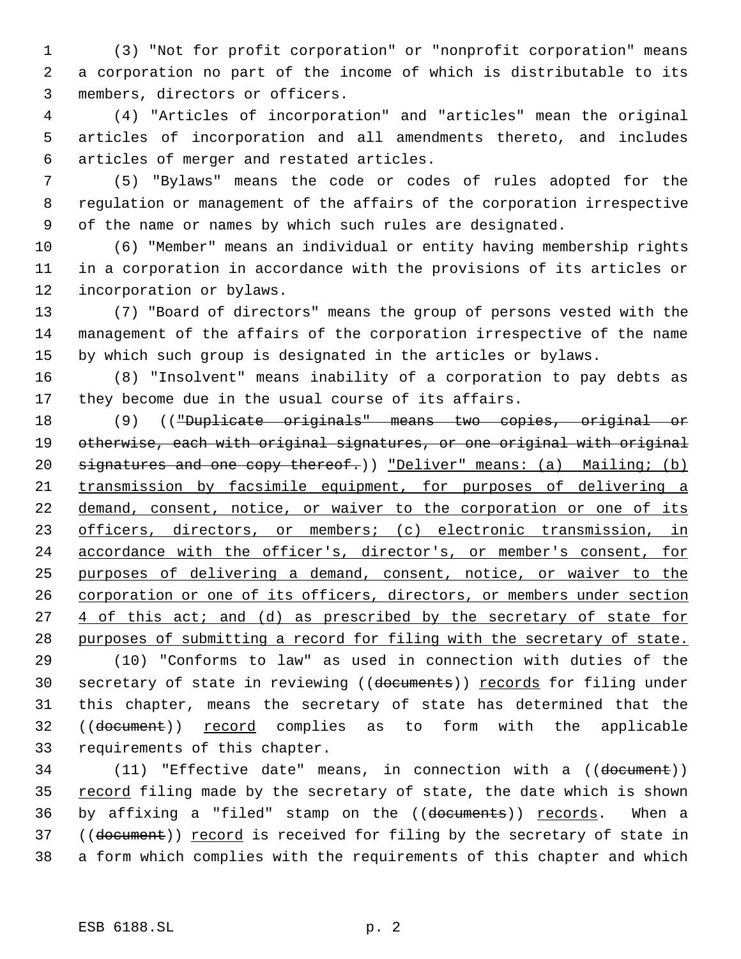(3) "Not for profit corporation" or "nonprofit corporation" means a corporation no part of the income of which is distributable to its members, directors or officers.

 (4) "Articles of incorporation" and "articles" mean the original articles of incorporation and all amendments thereto, and includes articles of merger and restated articles.

 (5) "Bylaws" means the code or codes of rules adopted for the regulation or management of the affairs of the corporation irrespective of the name or names by which such rules are designated.

 (6) "Member" means an individual or entity having membership rights in a corporation in accordance with the provisions of its articles or incorporation or bylaws.

 (7) "Board of directors" means the group of persons vested with the management of the affairs of the corporation irrespective of the name by which such group is designated in the articles or bylaws.

 (8) "Insolvent" means inability of a corporation to pay debts as they become due in the usual course of its affairs.

 (9) (("Duplicate originals" means two copies, original or otherwise, each with original signatures, or one original with original 20 signatures and one copy thereof.)) "Deliver" means: (a) Mailing; (b) transmission by facsimile equipment, for purposes of delivering a 22 demand, consent, notice, or waiver to the corporation or one of its 23 officers, directors, or members; (c) electronic transmission, in accordance with the officer's, director's, or member's consent, for purposes of delivering a demand, consent, notice, or waiver to the corporation or one of its officers, directors, or members under section 27 4 of this act; and (d) as prescribed by the secretary of state for purposes of submitting a record for filing with the secretary of state.

 (10) "Conforms to law" as used in connection with duties of the 30 secretary of state in reviewing ((documents)) records for filing under this chapter, means the secretary of state has determined that the ((document)) record complies as to form with the applicable requirements of this chapter.

 (11) "Effective date" means, in connection with a ((document)) 35 record filing made by the secretary of state, the date which is shown 36 by affixing a "filed" stamp on the ((documents)) records. When a 37 ((document)) record is received for filing by the secretary of state in a form which complies with the requirements of this chapter and which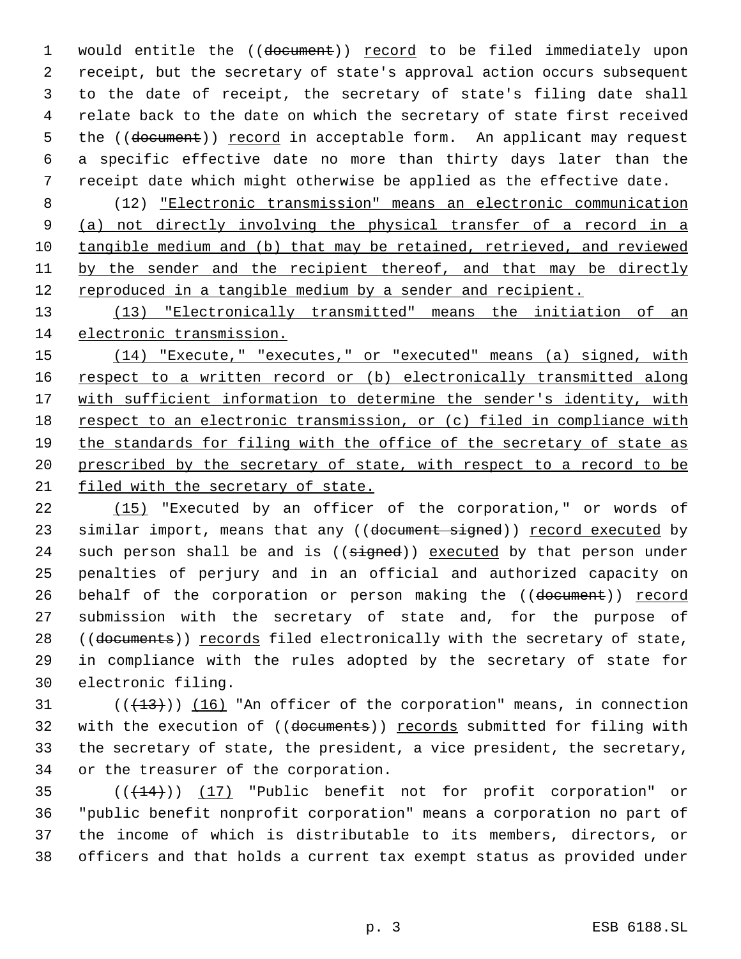1 would entitle the ((document)) record to be filed immediately upon receipt, but the secretary of state's approval action occurs subsequent to the date of receipt, the secretary of state's filing date shall relate back to the date on which the secretary of state first received 5 the ((document)) record in acceptable form. An applicant may request a specific effective date no more than thirty days later than the receipt date which might otherwise be applied as the effective date.

 (12) "Electronic transmission" means an electronic communication (a) not directly involving the physical transfer of a record in a tangible medium and (b) that may be retained, retrieved, and reviewed 11 by the sender and the recipient thereof, and that may be directly 12 reproduced in a tangible medium by a sender and recipient.

 (13) "Electronically transmitted" means the initiation of an electronic transmission.

 (14) "Execute," "executes," or "executed" means (a) signed, with 16 respect to a written record or (b) electronically transmitted along 17 with sufficient information to determine the sender's identity, with 18 respect to an electronic transmission, or (c) filed in compliance with the standards for filing with the office of the secretary of state as prescribed by the secretary of state, with respect to a record to be filed with the secretary of state.

22 (15) "Executed by an officer of the corporation," or words of 23 similar import, means that any ((document signed)) record executed by 24 such person shall be and is ((signed)) executed by that person under penalties of perjury and in an official and authorized capacity on 26 behalf of the corporation or person making the ((document)) record submission with the secretary of state and, for the purpose of 28 ((documents)) records filed electronically with the secretary of state, in compliance with the rules adopted by the secretary of state for electronic filing.

 ( $(\overline{+13})$ )  $(16)$  "An officer of the corporation" means, in connection with the execution of ((documents)) records submitted for filing with the secretary of state, the president, a vice president, the secretary, or the treasurer of the corporation.

35 (( $(14)$ )) (17) "Public benefit not for profit corporation" or "public benefit nonprofit corporation" means a corporation no part of the income of which is distributable to its members, directors, or officers and that holds a current tax exempt status as provided under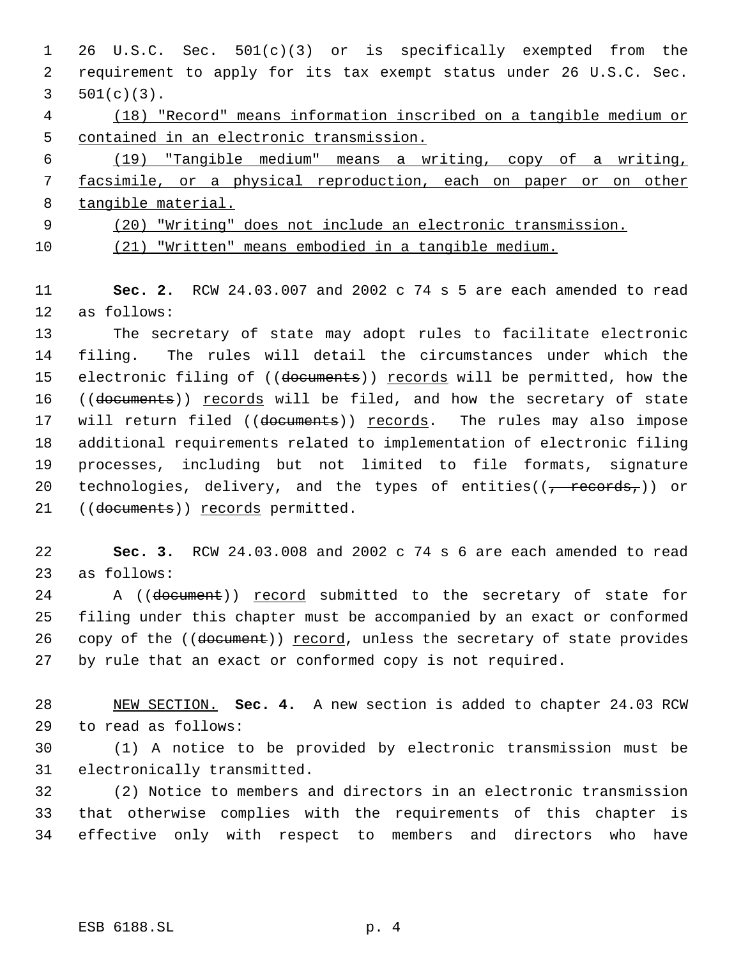- 26 U.S.C. Sec. 501(c)(3) or is specifically exempted from the requirement to apply for its tax exempt status under 26 U.S.C. Sec. 501(c)(3). (18) "Record" means information inscribed on a tangible medium or
- contained in an electronic transmission.

 (19) "Tangible medium" means a writing, copy of a writing, facsimile, or a physical reproduction, each on paper or on other tangible material.

 (20) "Writing" does not include an electronic transmission. (21) "Written" means embodied in a tangible medium.

 **Sec. 2.** RCW 24.03.007 and 2002 c 74 s 5 are each amended to read as follows:

 The secretary of state may adopt rules to facilitate electronic filing. The rules will detail the circumstances under which the 15 electronic filing of ((documents)) records will be permitted, how the 16 ((documents)) records will be filed, and how the secretary of state 17 will return filed ((documents)) records. The rules may also impose additional requirements related to implementation of electronic filing processes, including but not limited to file formats, signature 20 technologies, delivery, and the types of entities( $(\tau$  records,)) or 21 ((documents)) records permitted.

 **Sec. 3.** RCW 24.03.008 and 2002 c 74 s 6 are each amended to read as follows:

24 A ((document)) record submitted to the secretary of state for filing under this chapter must be accompanied by an exact or conformed 26 copy of the ((document)) record, unless the secretary of state provides by rule that an exact or conformed copy is not required.

 NEW SECTION. **Sec. 4.** A new section is added to chapter 24.03 RCW to read as follows:

 (1) A notice to be provided by electronic transmission must be electronically transmitted.

 (2) Notice to members and directors in an electronic transmission that otherwise complies with the requirements of this chapter is effective only with respect to members and directors who have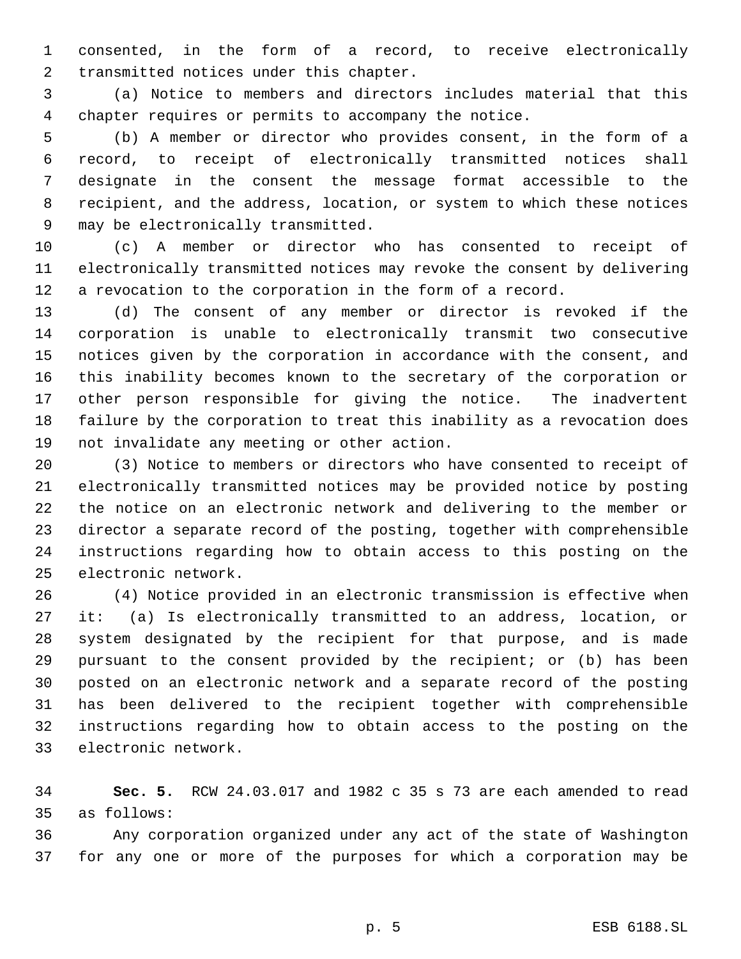consented, in the form of a record, to receive electronically transmitted notices under this chapter.

 (a) Notice to members and directors includes material that this chapter requires or permits to accompany the notice.

 (b) A member or director who provides consent, in the form of a record, to receipt of electronically transmitted notices shall designate in the consent the message format accessible to the recipient, and the address, location, or system to which these notices may be electronically transmitted.

 (c) A member or director who has consented to receipt of electronically transmitted notices may revoke the consent by delivering a revocation to the corporation in the form of a record.

 (d) The consent of any member or director is revoked if the corporation is unable to electronically transmit two consecutive notices given by the corporation in accordance with the consent, and this inability becomes known to the secretary of the corporation or other person responsible for giving the notice. The inadvertent failure by the corporation to treat this inability as a revocation does not invalidate any meeting or other action.

 (3) Notice to members or directors who have consented to receipt of electronically transmitted notices may be provided notice by posting the notice on an electronic network and delivering to the member or director a separate record of the posting, together with comprehensible instructions regarding how to obtain access to this posting on the electronic network.

 (4) Notice provided in an electronic transmission is effective when it: (a) Is electronically transmitted to an address, location, or system designated by the recipient for that purpose, and is made pursuant to the consent provided by the recipient; or (b) has been posted on an electronic network and a separate record of the posting has been delivered to the recipient together with comprehensible instructions regarding how to obtain access to the posting on the electronic network.

 **Sec. 5.** RCW 24.03.017 and 1982 c 35 s 73 are each amended to read as follows:

 Any corporation organized under any act of the state of Washington for any one or more of the purposes for which a corporation may be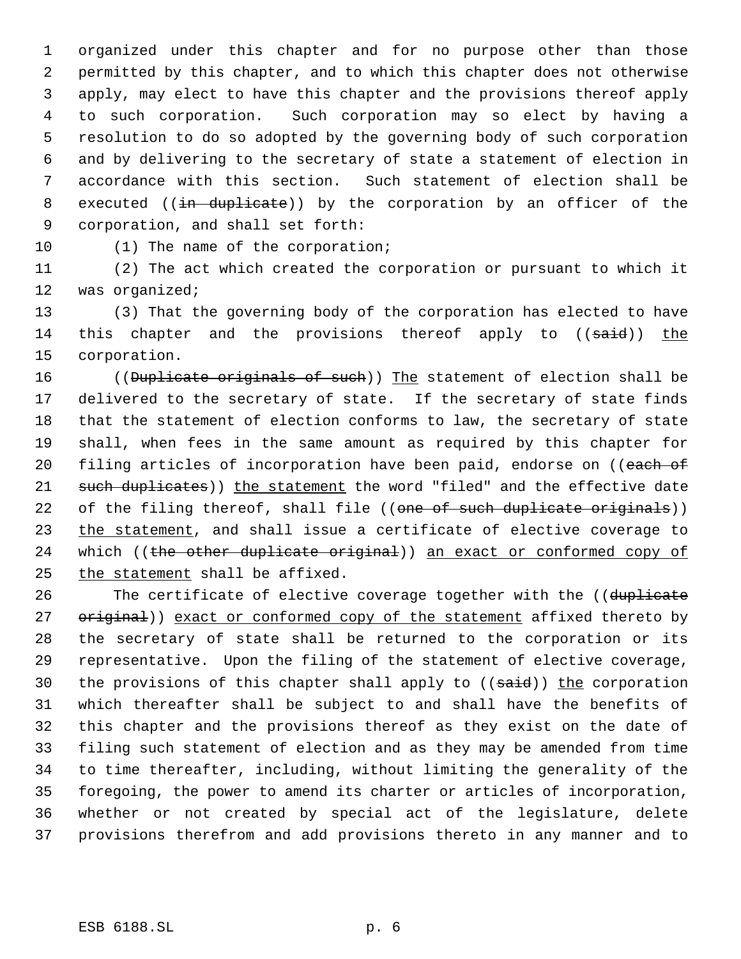organized under this chapter and for no purpose other than those permitted by this chapter, and to which this chapter does not otherwise apply, may elect to have this chapter and the provisions thereof apply to such corporation. Such corporation may so elect by having a resolution to do so adopted by the governing body of such corporation and by delivering to the secretary of state a statement of election in accordance with this section. Such statement of election shall be 8 executed ((in duplicate)) by the corporation by an officer of the corporation, and shall set forth:

10 (1) The name of the corporation;

 (2) The act which created the corporation or pursuant to which it was organized;

 (3) That the governing body of the corporation has elected to have 14 this chapter and the provisions thereof apply to ((said)) the corporation.

16 ((Duplicate originals of such)) The statement of election shall be delivered to the secretary of state. If the secretary of state finds that the statement of election conforms to law, the secretary of state shall, when fees in the same amount as required by this chapter for 20 filing articles of incorporation have been paid, endorse on ((each of 21 such duplicates)) the statement the word "filed" and the effective date 22 of the filing thereof, shall file ((one of such duplicate originals)) 23 the statement, and shall issue a certificate of elective coverage to 24 which ((the other duplicate original)) an exact or conformed copy of the statement shall be affixed.

26 The certificate of elective coverage together with the ((duplicate 27 original)) exact or conformed copy of the statement affixed thereto by the secretary of state shall be returned to the corporation or its representative. Upon the filing of the statement of elective coverage, 30 the provisions of this chapter shall apply to ((said)) the corporation which thereafter shall be subject to and shall have the benefits of this chapter and the provisions thereof as they exist on the date of filing such statement of election and as they may be amended from time to time thereafter, including, without limiting the generality of the foregoing, the power to amend its charter or articles of incorporation, whether or not created by special act of the legislature, delete provisions therefrom and add provisions thereto in any manner and to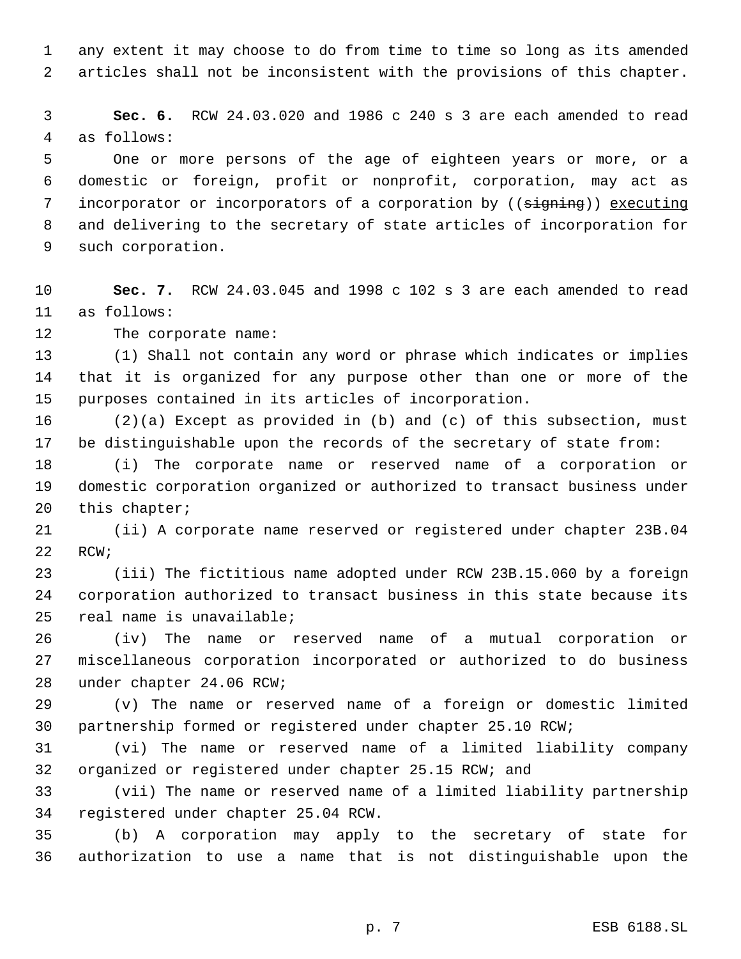any extent it may choose to do from time to time so long as its amended articles shall not be inconsistent with the provisions of this chapter.

 **Sec. 6.** RCW 24.03.020 and 1986 c 240 s 3 are each amended to read as follows:

 One or more persons of the age of eighteen years or more, or a domestic or foreign, profit or nonprofit, corporation, may act as 7 incorporator or incorporators of a corporation by ((signing)) executing and delivering to the secretary of state articles of incorporation for such corporation.

 **Sec. 7.** RCW 24.03.045 and 1998 c 102 s 3 are each amended to read as follows:

The corporate name:

 (1) Shall not contain any word or phrase which indicates or implies that it is organized for any purpose other than one or more of the purposes contained in its articles of incorporation.

 (2)(a) Except as provided in (b) and (c) of this subsection, must be distinguishable upon the records of the secretary of state from:

 (i) The corporate name or reserved name of a corporation or domestic corporation organized or authorized to transact business under this chapter;

 (ii) A corporate name reserved or registered under chapter 23B.04 RCW;

 (iii) The fictitious name adopted under RCW 23B.15.060 by a foreign corporation authorized to transact business in this state because its real name is unavailable;

 (iv) The name or reserved name of a mutual corporation or miscellaneous corporation incorporated or authorized to do business under chapter 24.06 RCW;

 (v) The name or reserved name of a foreign or domestic limited partnership formed or registered under chapter 25.10 RCW;

 (vi) The name or reserved name of a limited liability company organized or registered under chapter 25.15 RCW; and

 (vii) The name or reserved name of a limited liability partnership registered under chapter 25.04 RCW.

 (b) A corporation may apply to the secretary of state for authorization to use a name that is not distinguishable upon the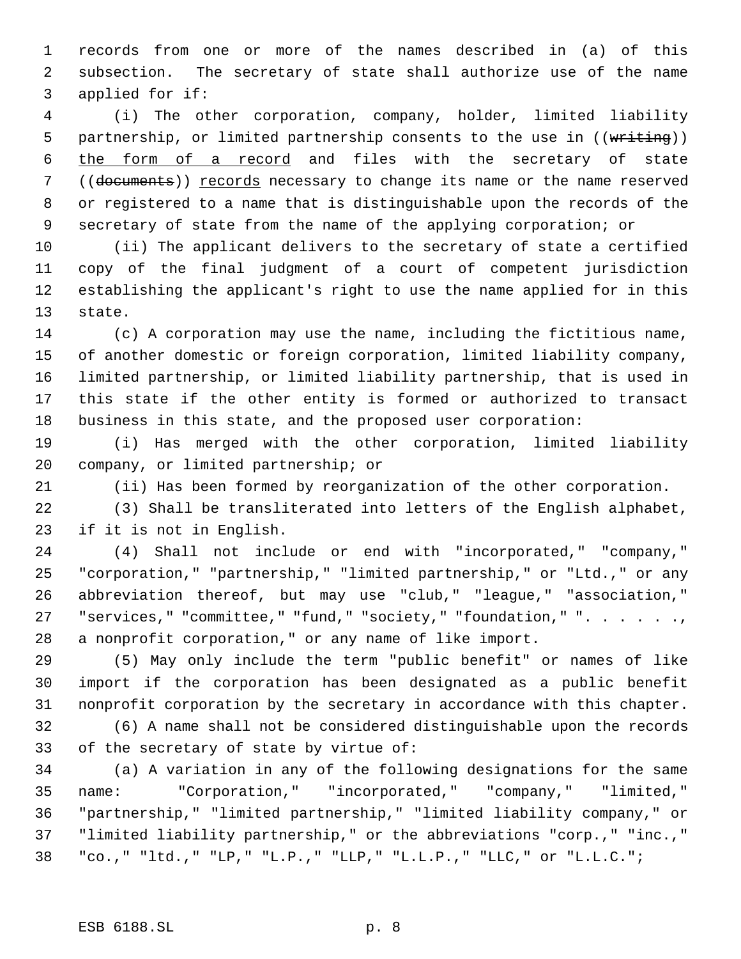records from one or more of the names described in (a) of this subsection. The secretary of state shall authorize use of the name applied for if:

 (i) The other corporation, company, holder, limited liability 5 partnership, or limited partnership consents to the use in ((writing)) the form of a record and files with the secretary of state ((documents)) records necessary to change its name or the name reserved or registered to a name that is distinguishable upon the records of the secretary of state from the name of the applying corporation; or

 (ii) The applicant delivers to the secretary of state a certified copy of the final judgment of a court of competent jurisdiction establishing the applicant's right to use the name applied for in this state.

 (c) A corporation may use the name, including the fictitious name, of another domestic or foreign corporation, limited liability company, limited partnership, or limited liability partnership, that is used in this state if the other entity is formed or authorized to transact business in this state, and the proposed user corporation:

 (i) Has merged with the other corporation, limited liability company, or limited partnership; or

(ii) Has been formed by reorganization of the other corporation.

 (3) Shall be transliterated into letters of the English alphabet, if it is not in English.

 (4) Shall not include or end with "incorporated," "company," "corporation," "partnership," "limited partnership," or "Ltd.," or any abbreviation thereof, but may use "club," "league," "association," 27 "services," "committee," "fund," "society," "foundation," ". . . . . ., a nonprofit corporation," or any name of like import.

 (5) May only include the term "public benefit" or names of like import if the corporation has been designated as a public benefit nonprofit corporation by the secretary in accordance with this chapter.

 (6) A name shall not be considered distinguishable upon the records of the secretary of state by virtue of:

 (a) A variation in any of the following designations for the same name: "Corporation," "incorporated," "company," "limited," "partnership," "limited partnership," "limited liability company," or "limited liability partnership," or the abbreviations "corp.," "inc.," "co.," "ltd.," "LP," "L.P.," "LLP," "L.L.P.," "LLC," or "L.L.C.";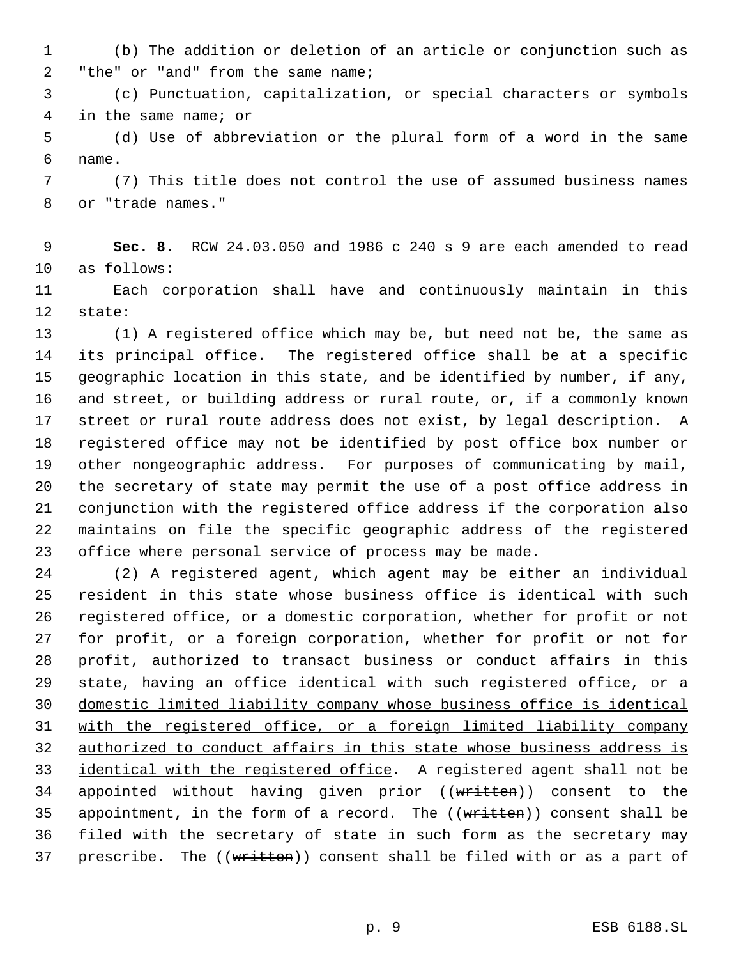(b) The addition or deletion of an article or conjunction such as "the" or "and" from the same name;

 (c) Punctuation, capitalization, or special characters or symbols in the same name; or

 (d) Use of abbreviation or the plural form of a word in the same name.

 (7) This title does not control the use of assumed business names or "trade names."

 **Sec. 8.** RCW 24.03.050 and 1986 c 240 s 9 are each amended to read as follows:

 Each corporation shall have and continuously maintain in this state:

 (1) A registered office which may be, but need not be, the same as its principal office. The registered office shall be at a specific geographic location in this state, and be identified by number, if any, and street, or building address or rural route, or, if a commonly known street or rural route address does not exist, by legal description. A registered office may not be identified by post office box number or other nongeographic address. For purposes of communicating by mail, the secretary of state may permit the use of a post office address in conjunction with the registered office address if the corporation also maintains on file the specific geographic address of the registered office where personal service of process may be made.

 (2) A registered agent, which agent may be either an individual resident in this state whose business office is identical with such registered office, or a domestic corporation, whether for profit or not for profit, or a foreign corporation, whether for profit or not for profit, authorized to transact business or conduct affairs in this 29 state, having an office identical with such registered office, or a domestic limited liability company whose business office is identical with the registered office, or a foreign limited liability company authorized to conduct affairs in this state whose business address is 33 identical with the registered office. A registered agent shall not be 34 appointed without having given prior ((written)) consent to the 35 appointment, in the form of a record. The  $((\text{written}))$  consent shall be filed with the secretary of state in such form as the secretary may 37 prescribe. The ((written)) consent shall be filed with or as a part of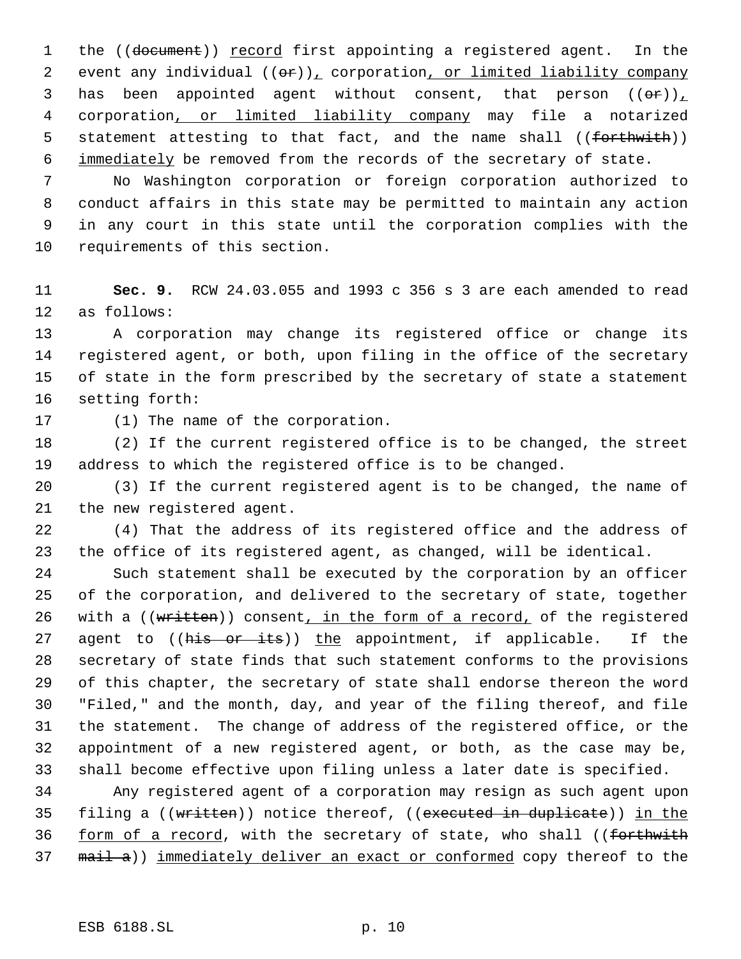1 the ((document)) record first appointing a registered agent. In the 2 event any individual  $((\theta \cdot r))_T$  corporation, or limited liability company 3 has been appointed agent without consent, that person  $((\theta \cdot \mathbf{r}))_+$  corporation, or limited liability company may file a notarized 5 statement attesting to that fact, and the name shall ((forthwith)) 6 immediately be removed from the records of the secretary of state.

 No Washington corporation or foreign corporation authorized to conduct affairs in this state may be permitted to maintain any action in any court in this state until the corporation complies with the requirements of this section.

 **Sec. 9.** RCW 24.03.055 and 1993 c 356 s 3 are each amended to read as follows:

 A corporation may change its registered office or change its registered agent, or both, upon filing in the office of the secretary of state in the form prescribed by the secretary of state a statement setting forth:

(1) The name of the corporation.

 (2) If the current registered office is to be changed, the street address to which the registered office is to be changed.

 (3) If the current registered agent is to be changed, the name of the new registered agent.

 (4) That the address of its registered office and the address of the office of its registered agent, as changed, will be identical.

 Such statement shall be executed by the corporation by an officer of the corporation, and delivered to the secretary of state, together 26 with a ((written)) consent, in the form of a record, of the registered 27 agent to ((his or its)) the appointment, if applicable. If the secretary of state finds that such statement conforms to the provisions of this chapter, the secretary of state shall endorse thereon the word "Filed," and the month, day, and year of the filing thereof, and file the statement. The change of address of the registered office, or the appointment of a new registered agent, or both, as the case may be, shall become effective upon filing unless a later date is specified.

 Any registered agent of a corporation may resign as such agent upon 35 filing a ((written)) notice thereof, ((executed in duplicate)) in the 36 form of a record, with the secretary of state, who shall ((forthwith 37 mail a)) immediately deliver an exact or conformed copy thereof to the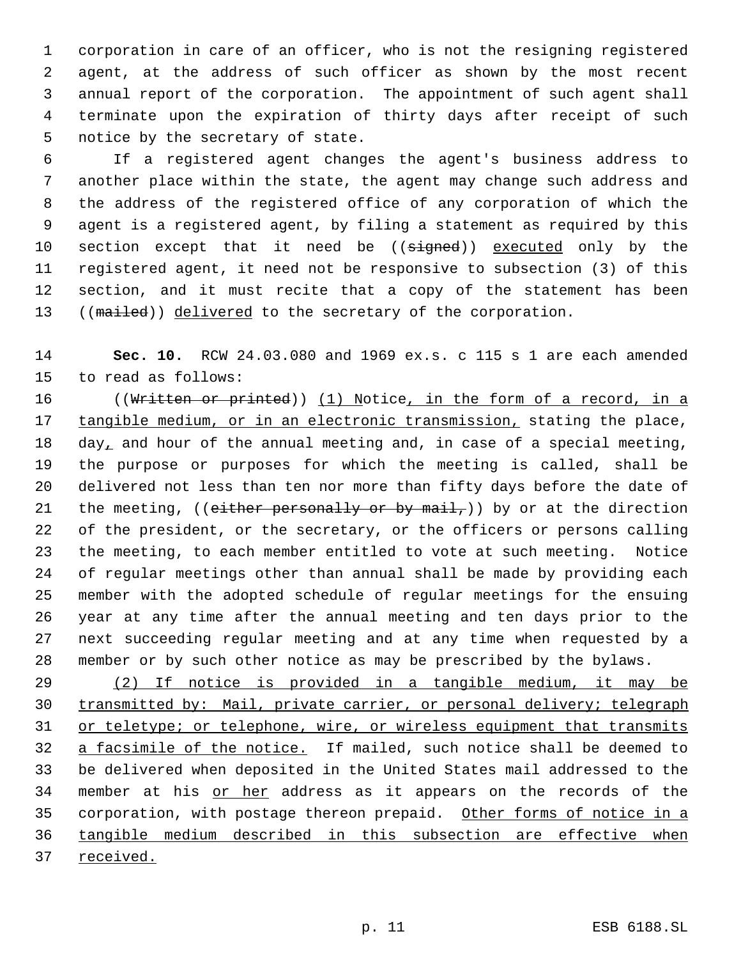corporation in care of an officer, who is not the resigning registered agent, at the address of such officer as shown by the most recent annual report of the corporation. The appointment of such agent shall terminate upon the expiration of thirty days after receipt of such notice by the secretary of state.

 If a registered agent changes the agent's business address to another place within the state, the agent may change such address and the address of the registered office of any corporation of which the agent is a registered agent, by filing a statement as required by this 10 section except that it need be ((signed)) executed only by the registered agent, it need not be responsive to subsection (3) of this section, and it must recite that a copy of the statement has been 13 ((mailed)) delivered to the secretary of the corporation.

 **Sec. 10.** RCW 24.03.080 and 1969 ex.s. c 115 s 1 are each amended to read as follows:

16 ((Written or printed)) (1) Notice, in the form of a record, in a 17 tangible medium, or in an electronic transmission, stating the place, 18 day, and hour of the annual meeting and, in case of a special meeting, the purpose or purposes for which the meeting is called, shall be delivered not less than ten nor more than fifty days before the date of 21 the meeting, ((either personally or by mail,)) by or at the direction of the president, or the secretary, or the officers or persons calling the meeting, to each member entitled to vote at such meeting. Notice of regular meetings other than annual shall be made by providing each member with the adopted schedule of regular meetings for the ensuing year at any time after the annual meeting and ten days prior to the next succeeding regular meeting and at any time when requested by a member or by such other notice as may be prescribed by the bylaws.

 (2) If notice is provided in a tangible medium, it may be transmitted by: Mail, private carrier, or personal delivery; telegraph 31 or teletype; or telephone, wire, or wireless equipment that transmits 32 a facsimile of the notice. If mailed, such notice shall be deemed to be delivered when deposited in the United States mail addressed to the 34 member at his or her address as it appears on the records of the 35 corporation, with postage thereon prepaid. Other forms of notice in a tangible medium described in this subsection are effective when received.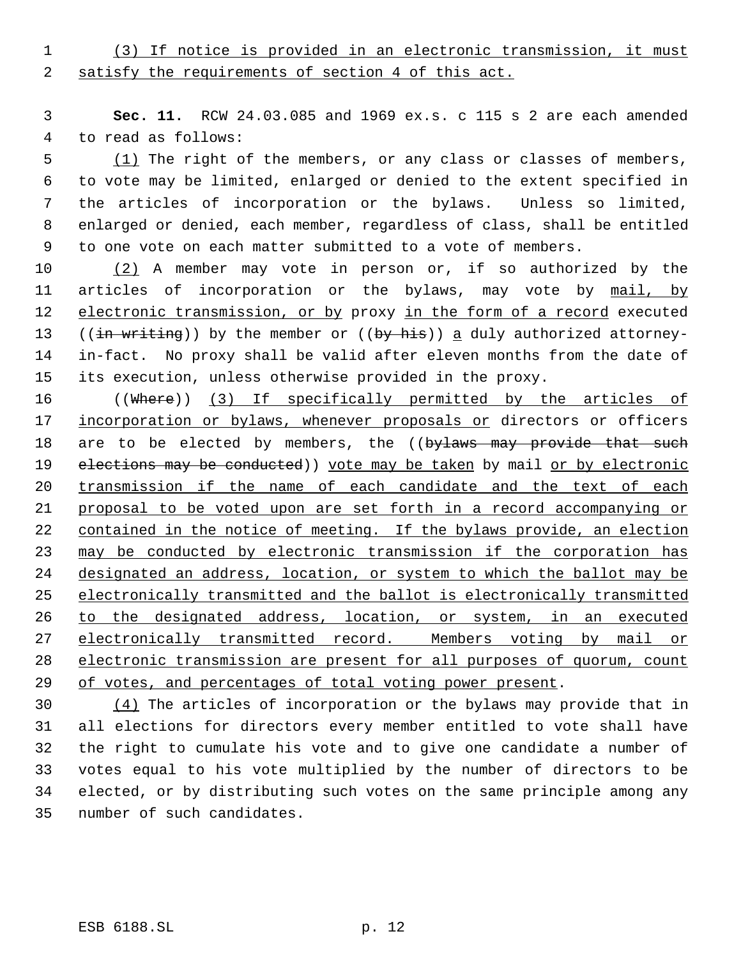(3) If notice is provided in an electronic transmission, it must 2 satisfy the requirements of section 4 of this act.

 **Sec. 11.** RCW 24.03.085 and 1969 ex.s. c 115 s 2 are each amended to read as follows:

5 (1) The right of the members, or any class or classes of members, to vote may be limited, enlarged or denied to the extent specified in the articles of incorporation or the bylaws. Unless so limited, enlarged or denied, each member, regardless of class, shall be entitled to one vote on each matter submitted to a vote of members.

10 (2) A member may vote in person or, if so authorized by the 11 articles of incorporation or the bylaws, may vote by mail, by 12 electronic transmission, or by proxy in the form of a record executed 13 (( $\frac{1}{10}$  writing)) by the member or (( $\frac{1}{10}$ ) a duly authorized attorney- in-fact. No proxy shall be valid after eleven months from the date of its execution, unless otherwise provided in the proxy.

16 ((Where)) (3) If specifically permitted by the articles of 17 incorporation or bylaws, whenever proposals or directors or officers 18 are to be elected by members, the ((bylaws may provide that such 19 elections may be conducted)) yote may be taken by mail or by electronic transmission if the name of each candidate and the text of each proposal to be voted upon are set forth in a record accompanying or 22 contained in the notice of meeting. If the bylaws provide, an election may be conducted by electronic transmission if the corporation has designated an address, location, or system to which the ballot may be electronically transmitted and the ballot is electronically transmitted to the designated address, location, or system, in an executed 27 electronically transmitted record. Members voting by mail or electronic transmission are present for all purposes of quorum, count 29 of votes, and percentages of total voting power present.

 (4) The articles of incorporation or the bylaws may provide that in all elections for directors every member entitled to vote shall have the right to cumulate his vote and to give one candidate a number of votes equal to his vote multiplied by the number of directors to be elected, or by distributing such votes on the same principle among any number of such candidates.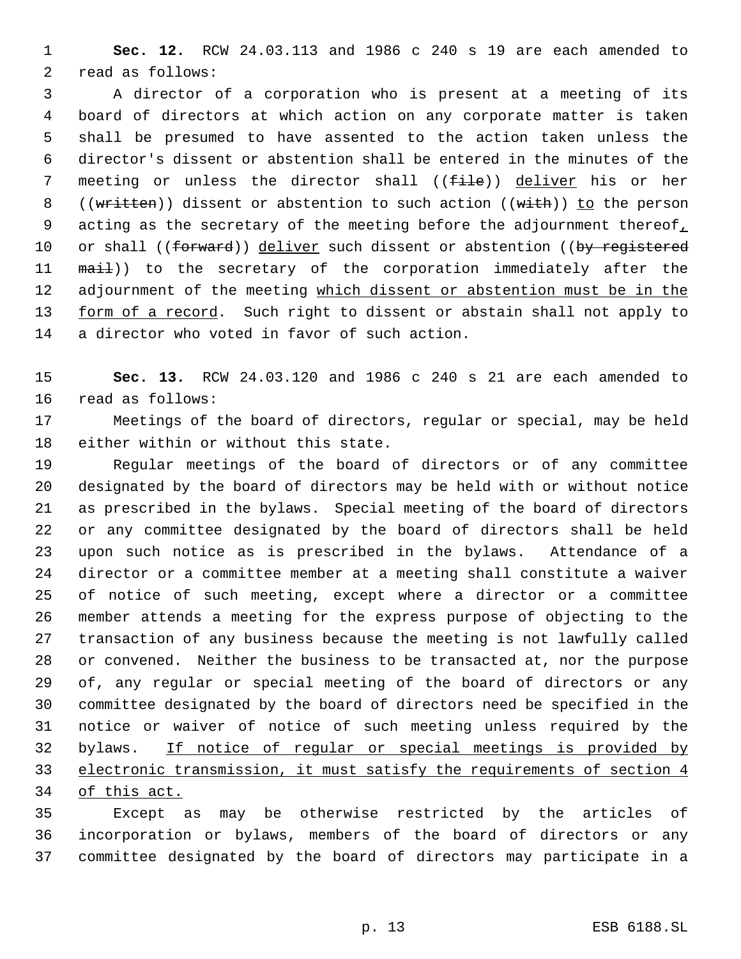**Sec. 12.** RCW 24.03.113 and 1986 c 240 s 19 are each amended to read as follows:

 A director of a corporation who is present at a meeting of its board of directors at which action on any corporate matter is taken shall be presumed to have assented to the action taken unless the director's dissent or abstention shall be entered in the minutes of the 7 meeting or unless the director shall ( $(f\text{-}i\text{-}l\text{-})$ ) deliver his or her 8 ((written)) dissent or abstention to such action ((with)) to the person 9 acting as the secretary of the meeting before the adjournment thereof, 10 or shall ((forward)) deliver such dissent or abstention ((by registered 11 mail)) to the secretary of the corporation immediately after the 12 adjournment of the meeting which dissent or abstention must be in the 13 form of a record. Such right to dissent or abstain shall not apply to a director who voted in favor of such action.

 **Sec. 13.** RCW 24.03.120 and 1986 c 240 s 21 are each amended to read as follows:

 Meetings of the board of directors, regular or special, may be held either within or without this state.

 Regular meetings of the board of directors or of any committee designated by the board of directors may be held with or without notice as prescribed in the bylaws. Special meeting of the board of directors or any committee designated by the board of directors shall be held upon such notice as is prescribed in the bylaws. Attendance of a director or a committee member at a meeting shall constitute a waiver of notice of such meeting, except where a director or a committee member attends a meeting for the express purpose of objecting to the transaction of any business because the meeting is not lawfully called or convened. Neither the business to be transacted at, nor the purpose of, any regular or special meeting of the board of directors or any committee designated by the board of directors need be specified in the notice or waiver of notice of such meeting unless required by the bylaws. If notice of regular or special meetings is provided by electronic transmission, it must satisfy the requirements of section 4 of this act.

 Except as may be otherwise restricted by the articles of incorporation or bylaws, members of the board of directors or any committee designated by the board of directors may participate in a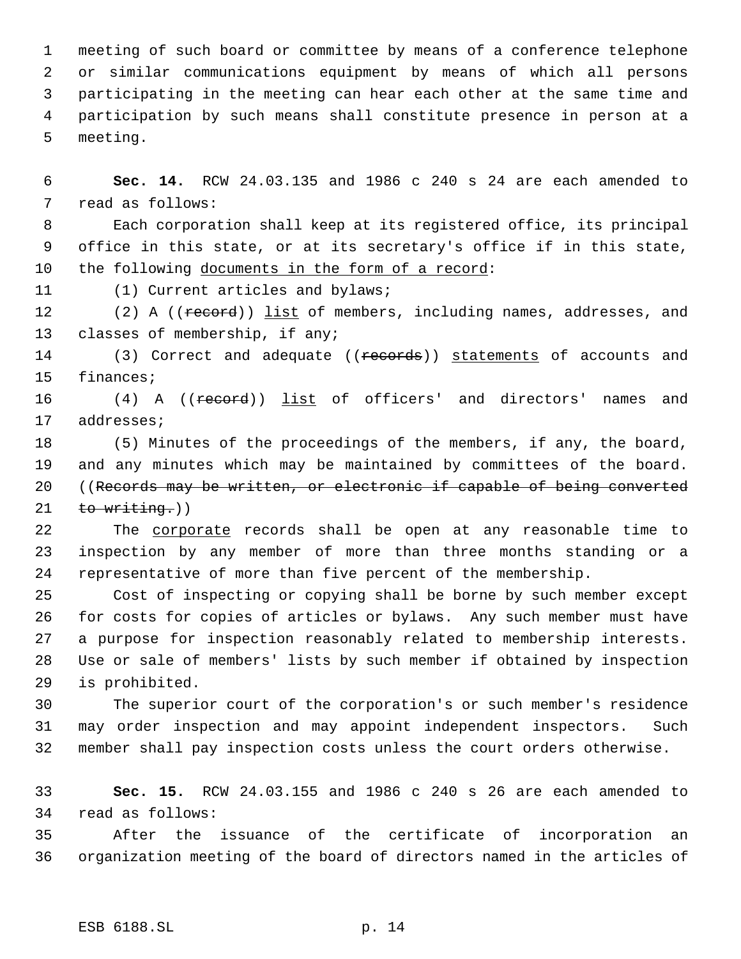meeting of such board or committee by means of a conference telephone or similar communications equipment by means of which all persons participating in the meeting can hear each other at the same time and participation by such means shall constitute presence in person at a meeting.

 **Sec. 14.** RCW 24.03.135 and 1986 c 240 s 24 are each amended to read as follows:

 Each corporation shall keep at its registered office, its principal office in this state, or at its secretary's office if in this state, 10 the following documents in the form of a record:

(1) Current articles and bylaws;

12 (2) A ((record)) list of members, including names, addresses, and classes of membership, if any;

14 (3) Correct and adequate ((records)) statements of accounts and finances;

16 (4) A ((record)) list of officers' and directors' names and addresses;

 (5) Minutes of the proceedings of the members, if any, the board, and any minutes which may be maintained by committees of the board. ((Records may be written, or electronic if capable of being converted to writing.)

 The corporate records shall be open at any reasonable time to inspection by any member of more than three months standing or a representative of more than five percent of the membership.

 Cost of inspecting or copying shall be borne by such member except for costs for copies of articles or bylaws. Any such member must have a purpose for inspection reasonably related to membership interests. Use or sale of members' lists by such member if obtained by inspection is prohibited.

 The superior court of the corporation's or such member's residence may order inspection and may appoint independent inspectors. Such member shall pay inspection costs unless the court orders otherwise.

 **Sec. 15.** RCW 24.03.155 and 1986 c 240 s 26 are each amended to read as follows:

 After the issuance of the certificate of incorporation an organization meeting of the board of directors named in the articles of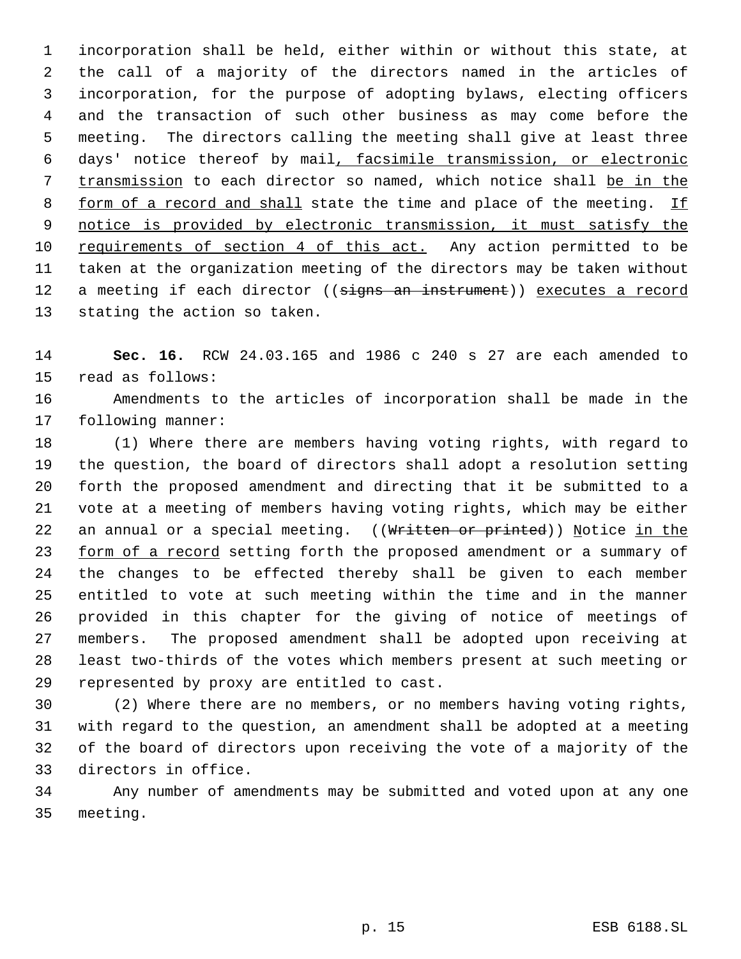incorporation shall be held, either within or without this state, at the call of a majority of the directors named in the articles of incorporation, for the purpose of adopting bylaws, electing officers and the transaction of such other business as may come before the meeting. The directors calling the meeting shall give at least three days' notice thereof by mail, facsimile transmission, or electronic transmission to each director so named, which notice shall be in the 8 form of a record and shall state the time and place of the meeting. If notice is provided by electronic transmission, it must satisfy the 10 requirements of section 4 of this act. Any action permitted to be taken at the organization meeting of the directors may be taken without 12 a meeting if each director ((signs an instrument)) executes a record stating the action so taken.

 **Sec. 16.** RCW 24.03.165 and 1986 c 240 s 27 are each amended to read as follows:

 Amendments to the articles of incorporation shall be made in the following manner:

 (1) Where there are members having voting rights, with regard to the question, the board of directors shall adopt a resolution setting forth the proposed amendment and directing that it be submitted to a vote at a meeting of members having voting rights, which may be either 22 an annual or a special meeting. ((Written or printed)) Notice in the 23 form of a record setting forth the proposed amendment or a summary of the changes to be effected thereby shall be given to each member entitled to vote at such meeting within the time and in the manner provided in this chapter for the giving of notice of meetings of members. The proposed amendment shall be adopted upon receiving at least two-thirds of the votes which members present at such meeting or represented by proxy are entitled to cast.

 (2) Where there are no members, or no members having voting rights, with regard to the question, an amendment shall be adopted at a meeting of the board of directors upon receiving the vote of a majority of the directors in office.

 Any number of amendments may be submitted and voted upon at any one meeting.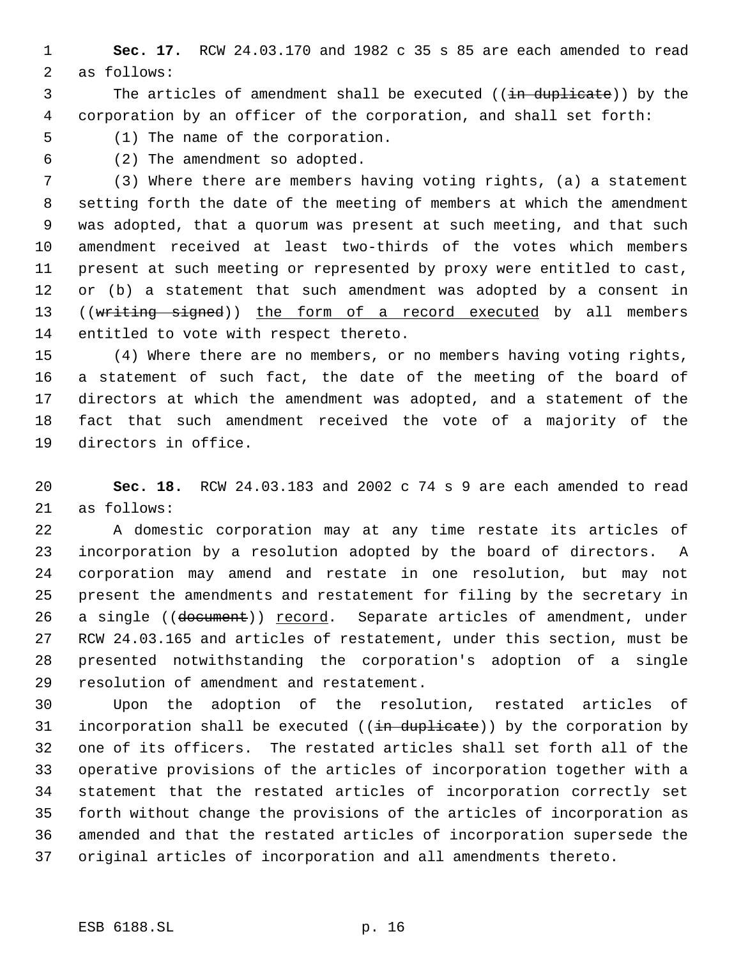**Sec. 17.** RCW 24.03.170 and 1982 c 35 s 85 are each amended to read as follows:

3 The articles of amendment shall be executed ((in duplicate)) by the corporation by an officer of the corporation, and shall set forth:

(1) The name of the corporation.

(2) The amendment so adopted.

 (3) Where there are members having voting rights, (a) a statement setting forth the date of the meeting of members at which the amendment was adopted, that a quorum was present at such meeting, and that such amendment received at least two-thirds of the votes which members present at such meeting or represented by proxy were entitled to cast, 12 or (b) a statement that such amendment was adopted by a consent in 13 ((writing signed)) the form of a record executed by all members entitled to vote with respect thereto.

 (4) Where there are no members, or no members having voting rights, a statement of such fact, the date of the meeting of the board of directors at which the amendment was adopted, and a statement of the fact that such amendment received the vote of a majority of the directors in office.

 **Sec. 18.** RCW 24.03.183 and 2002 c 74 s 9 are each amended to read as follows:

 A domestic corporation may at any time restate its articles of incorporation by a resolution adopted by the board of directors. A corporation may amend and restate in one resolution, but may not present the amendments and restatement for filing by the secretary in 26 a single ((document)) record. Separate articles of amendment, under RCW 24.03.165 and articles of restatement, under this section, must be presented notwithstanding the corporation's adoption of a single resolution of amendment and restatement.

 Upon the adoption of the resolution, restated articles of 31 incorporation shall be executed  $((\frac{1}{n} \frac{1}{n})$  by the corporation by one of its officers. The restated articles shall set forth all of the operative provisions of the articles of incorporation together with a statement that the restated articles of incorporation correctly set forth without change the provisions of the articles of incorporation as amended and that the restated articles of incorporation supersede the original articles of incorporation and all amendments thereto.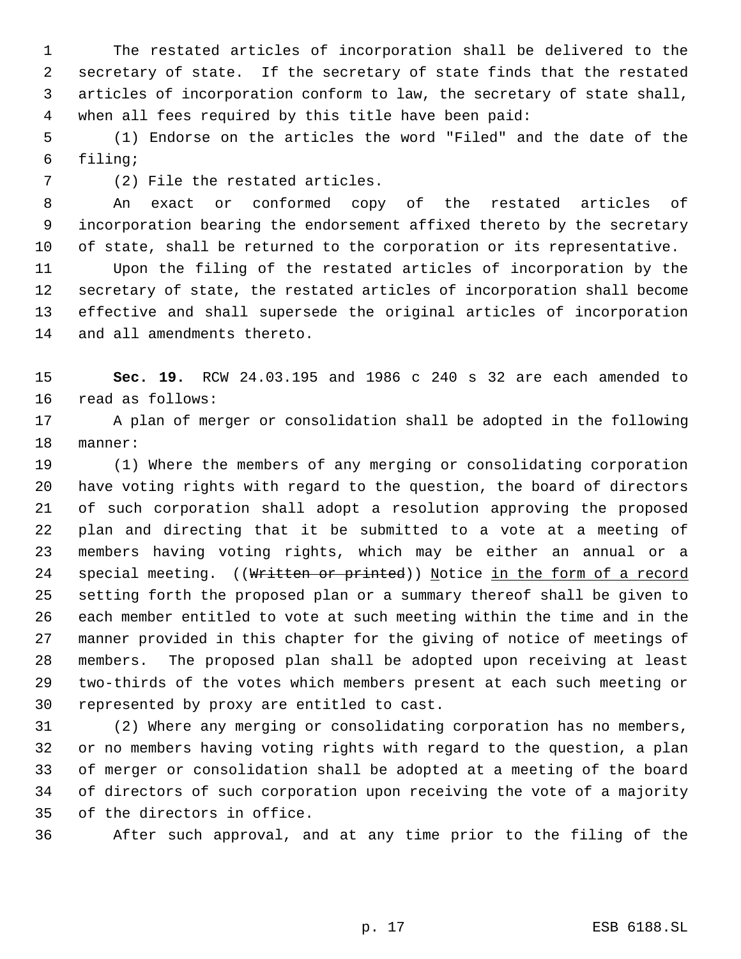The restated articles of incorporation shall be delivered to the secretary of state. If the secretary of state finds that the restated articles of incorporation conform to law, the secretary of state shall, when all fees required by this title have been paid:

 (1) Endorse on the articles the word "Filed" and the date of the filing;

(2) File the restated articles.

 An exact or conformed copy of the restated articles of incorporation bearing the endorsement affixed thereto by the secretary of state, shall be returned to the corporation or its representative.

 Upon the filing of the restated articles of incorporation by the secretary of state, the restated articles of incorporation shall become effective and shall supersede the original articles of incorporation and all amendments thereto.

 **Sec. 19.** RCW 24.03.195 and 1986 c 240 s 32 are each amended to read as follows:

 A plan of merger or consolidation shall be adopted in the following manner:

 (1) Where the members of any merging or consolidating corporation have voting rights with regard to the question, the board of directors of such corporation shall adopt a resolution approving the proposed plan and directing that it be submitted to a vote at a meeting of members having voting rights, which may be either an annual or a 24 special meeting. ((Written or printed)) Notice in the form of a record setting forth the proposed plan or a summary thereof shall be given to each member entitled to vote at such meeting within the time and in the manner provided in this chapter for the giving of notice of meetings of members. The proposed plan shall be adopted upon receiving at least two-thirds of the votes which members present at each such meeting or represented by proxy are entitled to cast.

 (2) Where any merging or consolidating corporation has no members, or no members having voting rights with regard to the question, a plan of merger or consolidation shall be adopted at a meeting of the board of directors of such corporation upon receiving the vote of a majority of the directors in office.

After such approval, and at any time prior to the filing of the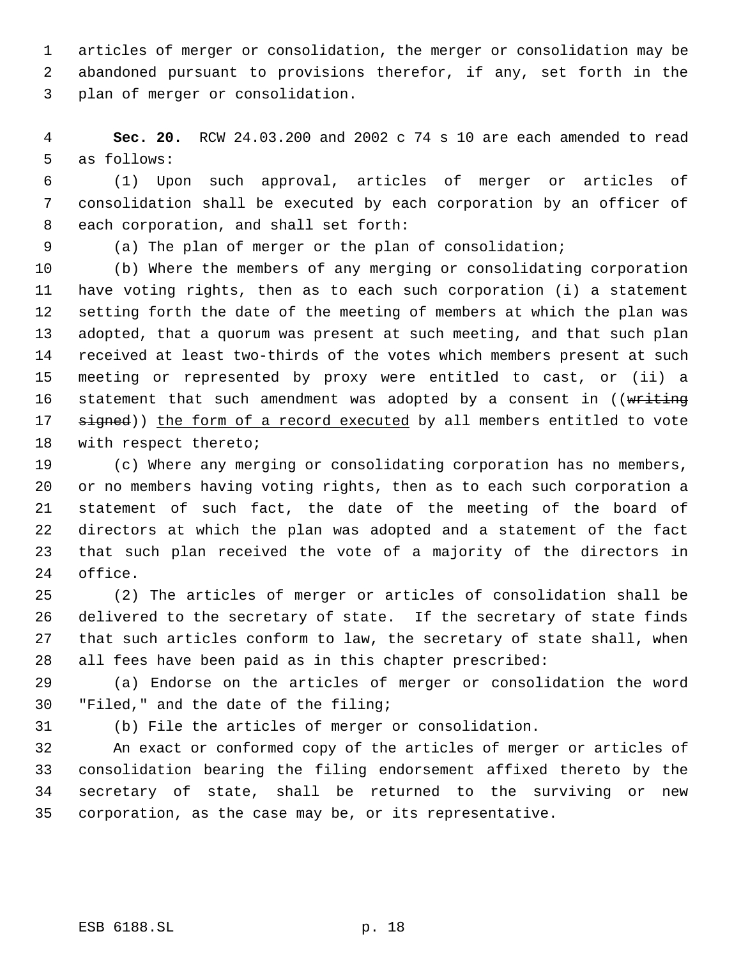articles of merger or consolidation, the merger or consolidation may be abandoned pursuant to provisions therefor, if any, set forth in the plan of merger or consolidation.

 **Sec. 20.** RCW 24.03.200 and 2002 c 74 s 10 are each amended to read as follows:

 (1) Upon such approval, articles of merger or articles of consolidation shall be executed by each corporation by an officer of each corporation, and shall set forth:

(a) The plan of merger or the plan of consolidation;

 (b) Where the members of any merging or consolidating corporation have voting rights, then as to each such corporation (i) a statement setting forth the date of the meeting of members at which the plan was adopted, that a quorum was present at such meeting, and that such plan received at least two-thirds of the votes which members present at such meeting or represented by proxy were entitled to cast, or (ii) a 16 statement that such amendment was adopted by a consent in ((writing 17 signed)) the form of a record executed by all members entitled to vote with respect thereto;

 (c) Where any merging or consolidating corporation has no members, or no members having voting rights, then as to each such corporation a statement of such fact, the date of the meeting of the board of directors at which the plan was adopted and a statement of the fact that such plan received the vote of a majority of the directors in office.

 (2) The articles of merger or articles of consolidation shall be delivered to the secretary of state. If the secretary of state finds that such articles conform to law, the secretary of state shall, when all fees have been paid as in this chapter prescribed:

 (a) Endorse on the articles of merger or consolidation the word "Filed," and the date of the filing;

(b) File the articles of merger or consolidation.

 An exact or conformed copy of the articles of merger or articles of consolidation bearing the filing endorsement affixed thereto by the secretary of state, shall be returned to the surviving or new corporation, as the case may be, or its representative.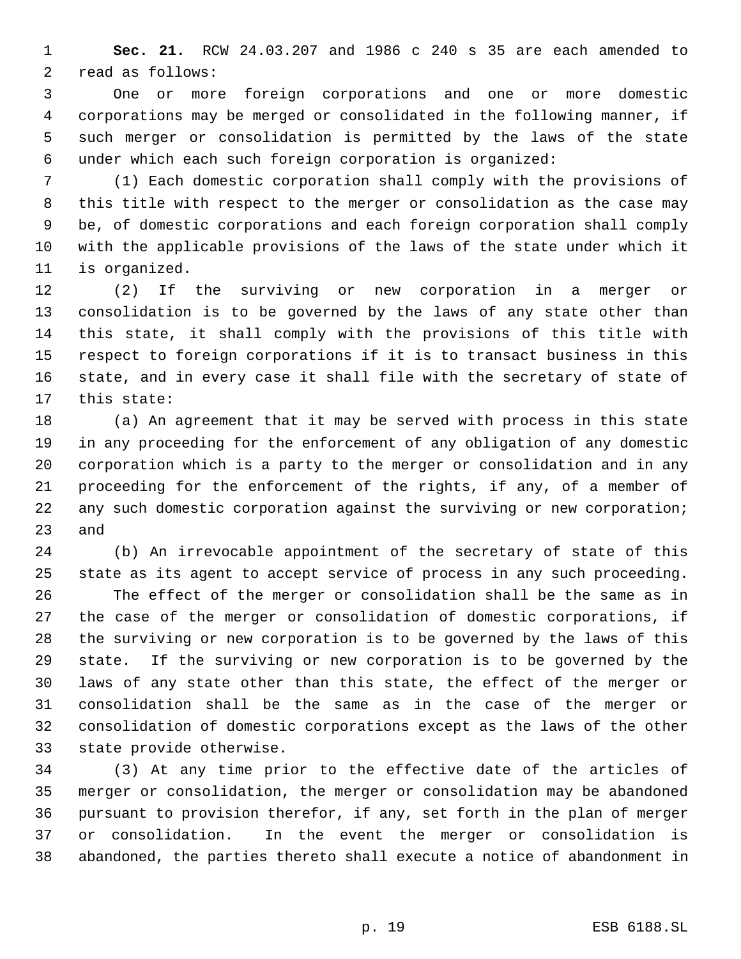**Sec. 21.** RCW 24.03.207 and 1986 c 240 s 35 are each amended to read as follows:

 One or more foreign corporations and one or more domestic corporations may be merged or consolidated in the following manner, if such merger or consolidation is permitted by the laws of the state under which each such foreign corporation is organized:

 (1) Each domestic corporation shall comply with the provisions of this title with respect to the merger or consolidation as the case may be, of domestic corporations and each foreign corporation shall comply with the applicable provisions of the laws of the state under which it is organized.

 (2) If the surviving or new corporation in a merger or consolidation is to be governed by the laws of any state other than this state, it shall comply with the provisions of this title with respect to foreign corporations if it is to transact business in this state, and in every case it shall file with the secretary of state of this state:

 (a) An agreement that it may be served with process in this state in any proceeding for the enforcement of any obligation of any domestic corporation which is a party to the merger or consolidation and in any proceeding for the enforcement of the rights, if any, of a member of any such domestic corporation against the surviving or new corporation; and

 (b) An irrevocable appointment of the secretary of state of this state as its agent to accept service of process in any such proceeding. The effect of the merger or consolidation shall be the same as in the case of the merger or consolidation of domestic corporations, if the surviving or new corporation is to be governed by the laws of this state. If the surviving or new corporation is to be governed by the laws of any state other than this state, the effect of the merger or consolidation shall be the same as in the case of the merger or consolidation of domestic corporations except as the laws of the other state provide otherwise.

 (3) At any time prior to the effective date of the articles of merger or consolidation, the merger or consolidation may be abandoned pursuant to provision therefor, if any, set forth in the plan of merger or consolidation. In the event the merger or consolidation is abandoned, the parties thereto shall execute a notice of abandonment in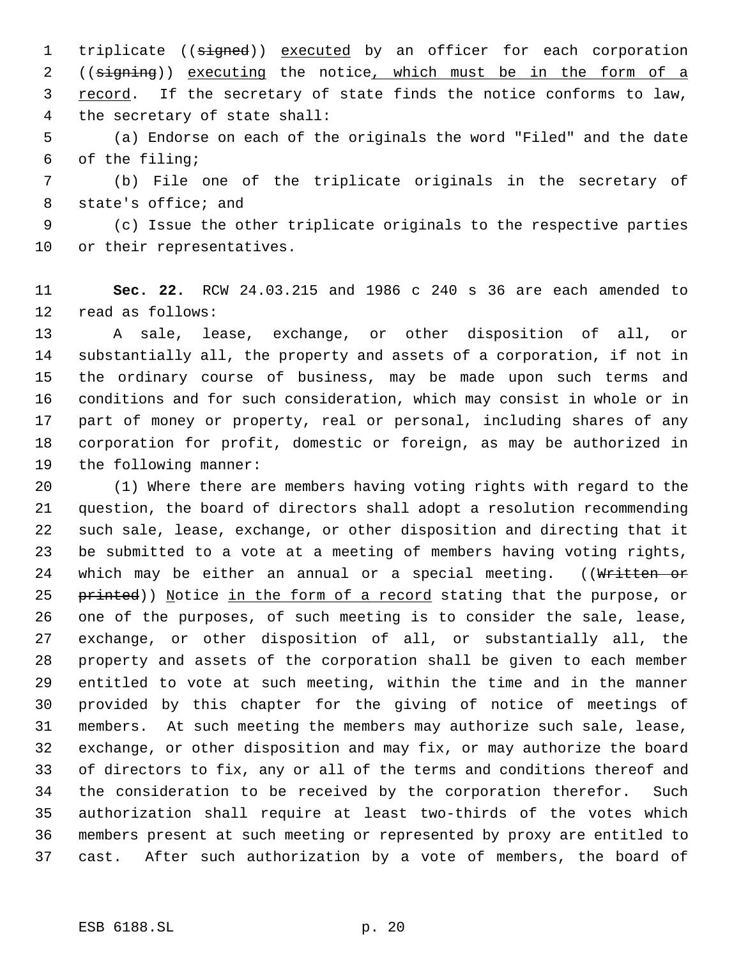1 triplicate ((signed)) executed by an officer for each corporation 2 ((signing)) executing the notice, which must be in the form of a 3 record. If the secretary of state finds the notice conforms to law, the secretary of state shall:

 (a) Endorse on each of the originals the word "Filed" and the date of the filing;

 (b) File one of the triplicate originals in the secretary of state's office; and

 (c) Issue the other triplicate originals to the respective parties or their representatives.

 **Sec. 22.** RCW 24.03.215 and 1986 c 240 s 36 are each amended to read as follows:

 A sale, lease, exchange, or other disposition of all, or substantially all, the property and assets of a corporation, if not in the ordinary course of business, may be made upon such terms and conditions and for such consideration, which may consist in whole or in part of money or property, real or personal, including shares of any corporation for profit, domestic or foreign, as may be authorized in the following manner:

 (1) Where there are members having voting rights with regard to the question, the board of directors shall adopt a resolution recommending such sale, lease, exchange, or other disposition and directing that it be submitted to a vote at a meeting of members having voting rights, 24 which may be either an annual or a special meeting. ((Written or 25 printed)) Notice in the form of a record stating that the purpose, or one of the purposes, of such meeting is to consider the sale, lease, exchange, or other disposition of all, or substantially all, the property and assets of the corporation shall be given to each member entitled to vote at such meeting, within the time and in the manner provided by this chapter for the giving of notice of meetings of members. At such meeting the members may authorize such sale, lease, exchange, or other disposition and may fix, or may authorize the board of directors to fix, any or all of the terms and conditions thereof and the consideration to be received by the corporation therefor. Such authorization shall require at least two-thirds of the votes which members present at such meeting or represented by proxy are entitled to cast. After such authorization by a vote of members, the board of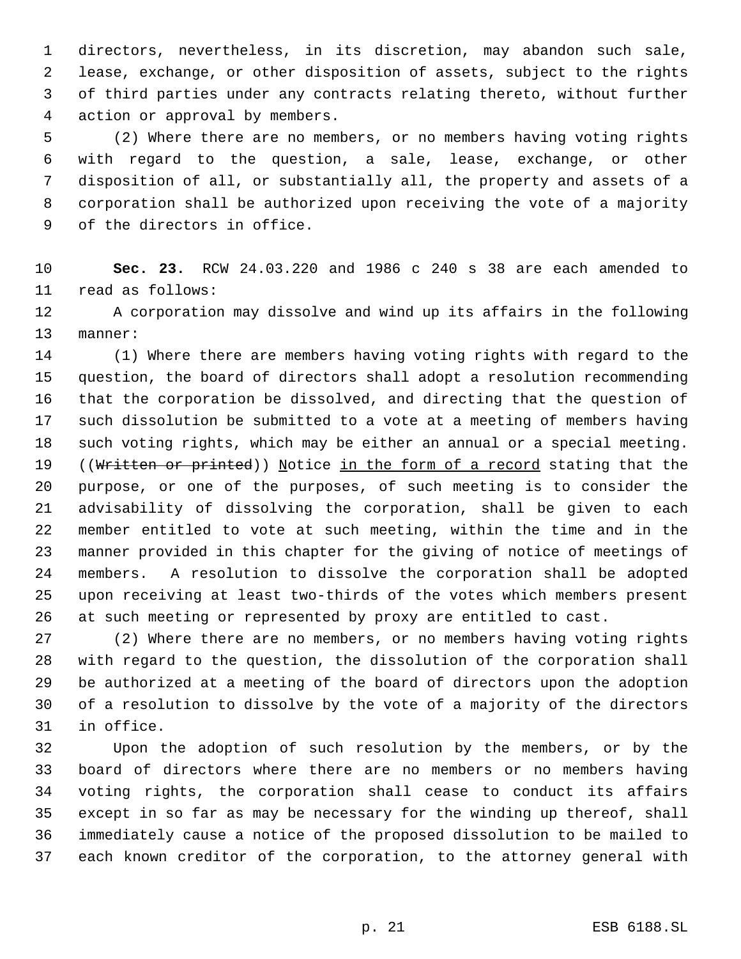directors, nevertheless, in its discretion, may abandon such sale, lease, exchange, or other disposition of assets, subject to the rights of third parties under any contracts relating thereto, without further action or approval by members.

 (2) Where there are no members, or no members having voting rights with regard to the question, a sale, lease, exchange, or other disposition of all, or substantially all, the property and assets of a corporation shall be authorized upon receiving the vote of a majority of the directors in office.

 **Sec. 23.** RCW 24.03.220 and 1986 c 240 s 38 are each amended to read as follows:

 A corporation may dissolve and wind up its affairs in the following manner:

 (1) Where there are members having voting rights with regard to the question, the board of directors shall adopt a resolution recommending that the corporation be dissolved, and directing that the question of such dissolution be submitted to a vote at a meeting of members having such voting rights, which may be either an annual or a special meeting. 19 ((Written or printed)) Notice in the form of a record stating that the purpose, or one of the purposes, of such meeting is to consider the advisability of dissolving the corporation, shall be given to each member entitled to vote at such meeting, within the time and in the manner provided in this chapter for the giving of notice of meetings of members. A resolution to dissolve the corporation shall be adopted upon receiving at least two-thirds of the votes which members present at such meeting or represented by proxy are entitled to cast.

 (2) Where there are no members, or no members having voting rights with regard to the question, the dissolution of the corporation shall be authorized at a meeting of the board of directors upon the adoption of a resolution to dissolve by the vote of a majority of the directors in office.

 Upon the adoption of such resolution by the members, or by the board of directors where there are no members or no members having voting rights, the corporation shall cease to conduct its affairs except in so far as may be necessary for the winding up thereof, shall immediately cause a notice of the proposed dissolution to be mailed to each known creditor of the corporation, to the attorney general with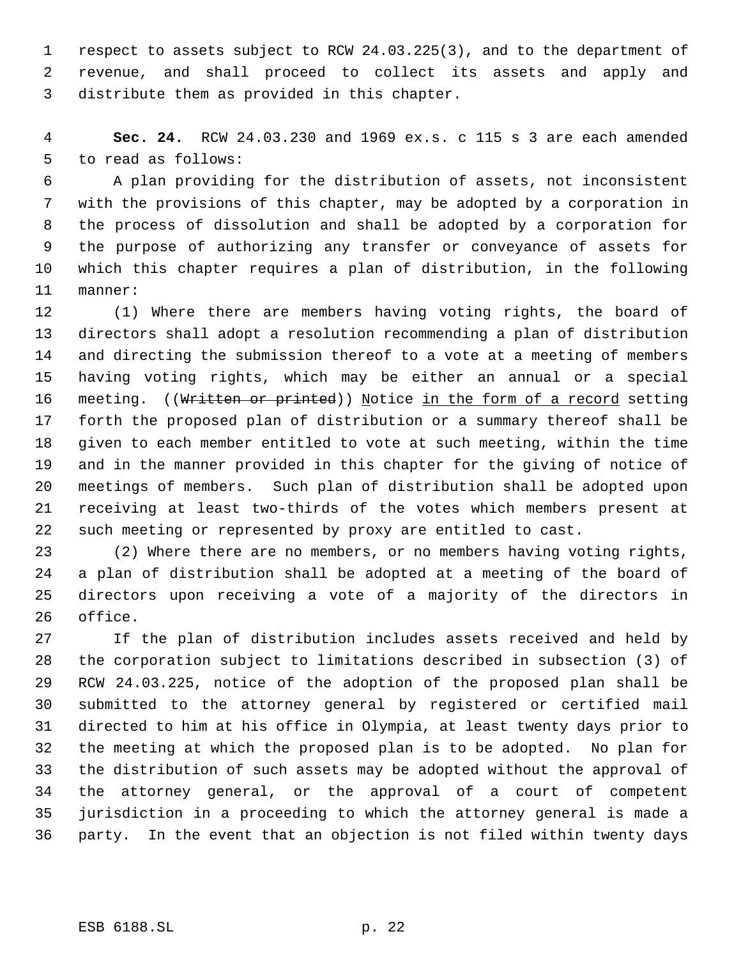respect to assets subject to RCW 24.03.225(3), and to the department of revenue, and shall proceed to collect its assets and apply and distribute them as provided in this chapter.

 **Sec. 24.** RCW 24.03.230 and 1969 ex.s. c 115 s 3 are each amended to read as follows:

 A plan providing for the distribution of assets, not inconsistent with the provisions of this chapter, may be adopted by a corporation in the process of dissolution and shall be adopted by a corporation for the purpose of authorizing any transfer or conveyance of assets for which this chapter requires a plan of distribution, in the following manner:

 (1) Where there are members having voting rights, the board of directors shall adopt a resolution recommending a plan of distribution and directing the submission thereof to a vote at a meeting of members having voting rights, which may be either an annual or a special 16 meeting. ((Written or printed)) Notice in the form of a record setting forth the proposed plan of distribution or a summary thereof shall be given to each member entitled to vote at such meeting, within the time and in the manner provided in this chapter for the giving of notice of meetings of members. Such plan of distribution shall be adopted upon receiving at least two-thirds of the votes which members present at such meeting or represented by proxy are entitled to cast.

 (2) Where there are no members, or no members having voting rights, a plan of distribution shall be adopted at a meeting of the board of directors upon receiving a vote of a majority of the directors in office.

 If the plan of distribution includes assets received and held by the corporation subject to limitations described in subsection (3) of RCW 24.03.225, notice of the adoption of the proposed plan shall be submitted to the attorney general by registered or certified mail directed to him at his office in Olympia, at least twenty days prior to the meeting at which the proposed plan is to be adopted. No plan for the distribution of such assets may be adopted without the approval of the attorney general, or the approval of a court of competent jurisdiction in a proceeding to which the attorney general is made a party. In the event that an objection is not filed within twenty days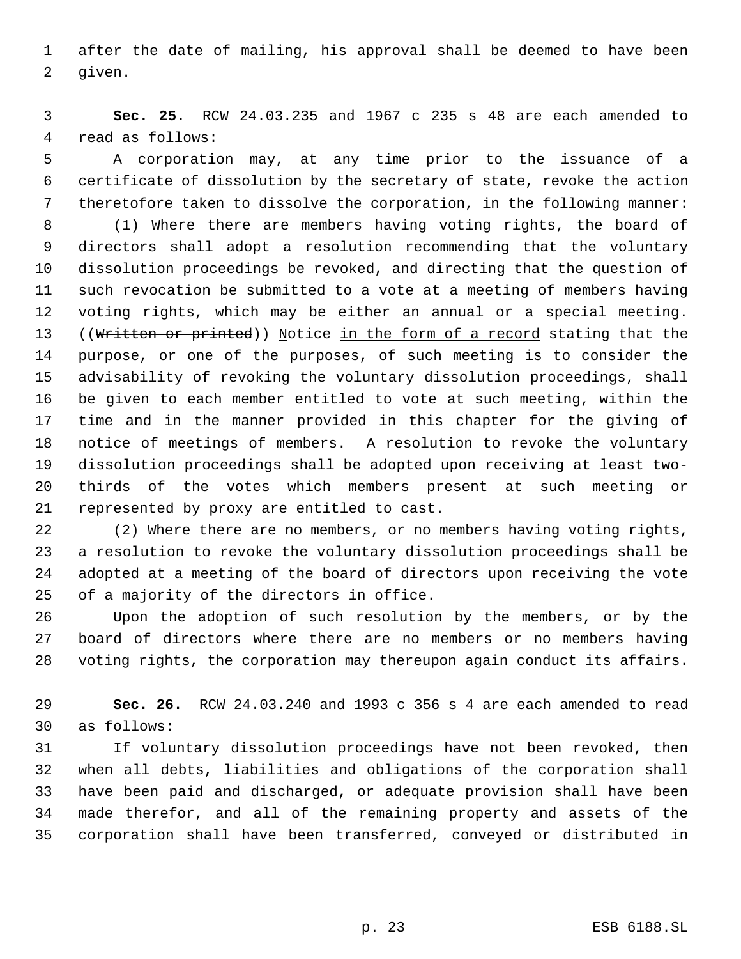after the date of mailing, his approval shall be deemed to have been given.

 **Sec. 25.** RCW 24.03.235 and 1967 c 235 s 48 are each amended to read as follows:

 A corporation may, at any time prior to the issuance of a certificate of dissolution by the secretary of state, revoke the action theretofore taken to dissolve the corporation, in the following manner:

 (1) Where there are members having voting rights, the board of directors shall adopt a resolution recommending that the voluntary dissolution proceedings be revoked, and directing that the question of such revocation be submitted to a vote at a meeting of members having voting rights, which may be either an annual or a special meeting. 13 ((Written or printed)) Notice in the form of a record stating that the purpose, or one of the purposes, of such meeting is to consider the advisability of revoking the voluntary dissolution proceedings, shall be given to each member entitled to vote at such meeting, within the time and in the manner provided in this chapter for the giving of notice of meetings of members. A resolution to revoke the voluntary dissolution proceedings shall be adopted upon receiving at least two- thirds of the votes which members present at such meeting or represented by proxy are entitled to cast.

 (2) Where there are no members, or no members having voting rights, a resolution to revoke the voluntary dissolution proceedings shall be adopted at a meeting of the board of directors upon receiving the vote of a majority of the directors in office.

 Upon the adoption of such resolution by the members, or by the board of directors where there are no members or no members having voting rights, the corporation may thereupon again conduct its affairs.

 **Sec. 26.** RCW 24.03.240 and 1993 c 356 s 4 are each amended to read as follows:

 If voluntary dissolution proceedings have not been revoked, then when all debts, liabilities and obligations of the corporation shall have been paid and discharged, or adequate provision shall have been made therefor, and all of the remaining property and assets of the corporation shall have been transferred, conveyed or distributed in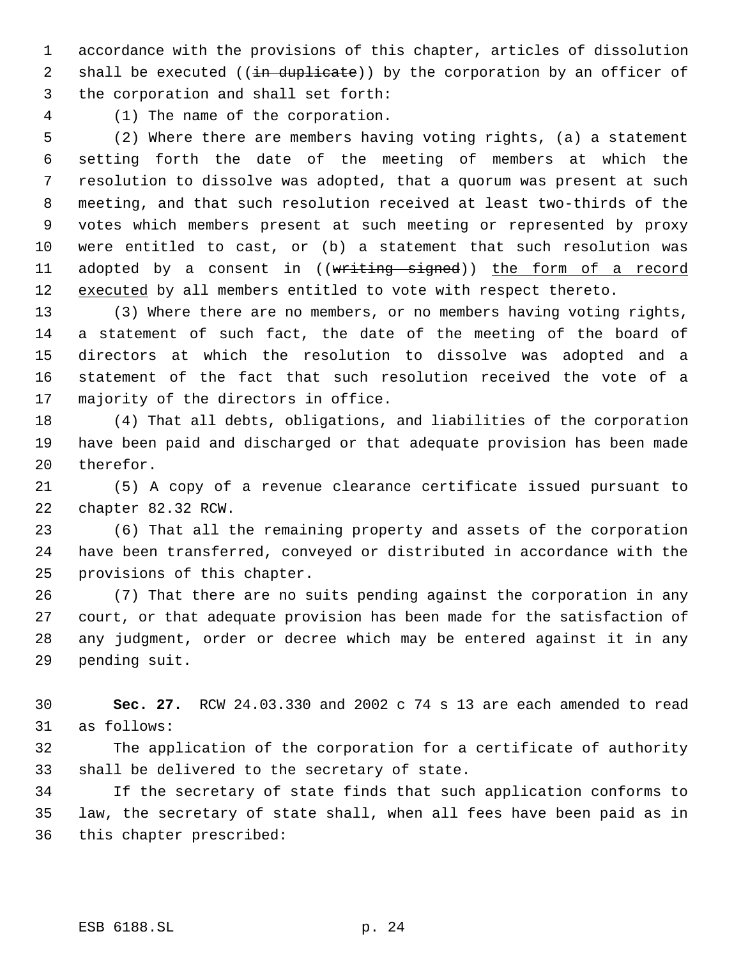accordance with the provisions of this chapter, articles of dissolution 2 shall be executed  $((\text{in duplicate}))$  by the corporation by an officer of the corporation and shall set forth:

(1) The name of the corporation.

 (2) Where there are members having voting rights, (a) a statement setting forth the date of the meeting of members at which the resolution to dissolve was adopted, that a quorum was present at such meeting, and that such resolution received at least two-thirds of the votes which members present at such meeting or represented by proxy were entitled to cast, or (b) a statement that such resolution was 11 adopted by a consent in ((writing signed)) the form of a record 12 executed by all members entitled to vote with respect thereto.

 (3) Where there are no members, or no members having voting rights, a statement of such fact, the date of the meeting of the board of directors at which the resolution to dissolve was adopted and a statement of the fact that such resolution received the vote of a majority of the directors in office.

 (4) That all debts, obligations, and liabilities of the corporation have been paid and discharged or that adequate provision has been made therefor.

 (5) A copy of a revenue clearance certificate issued pursuant to chapter 82.32 RCW.

 (6) That all the remaining property and assets of the corporation have been transferred, conveyed or distributed in accordance with the provisions of this chapter.

 (7) That there are no suits pending against the corporation in any court, or that adequate provision has been made for the satisfaction of any judgment, order or decree which may be entered against it in any pending suit.

 **Sec. 27.** RCW 24.03.330 and 2002 c 74 s 13 are each amended to read as follows:

 The application of the corporation for a certificate of authority shall be delivered to the secretary of state.

 If the secretary of state finds that such application conforms to law, the secretary of state shall, when all fees have been paid as in this chapter prescribed: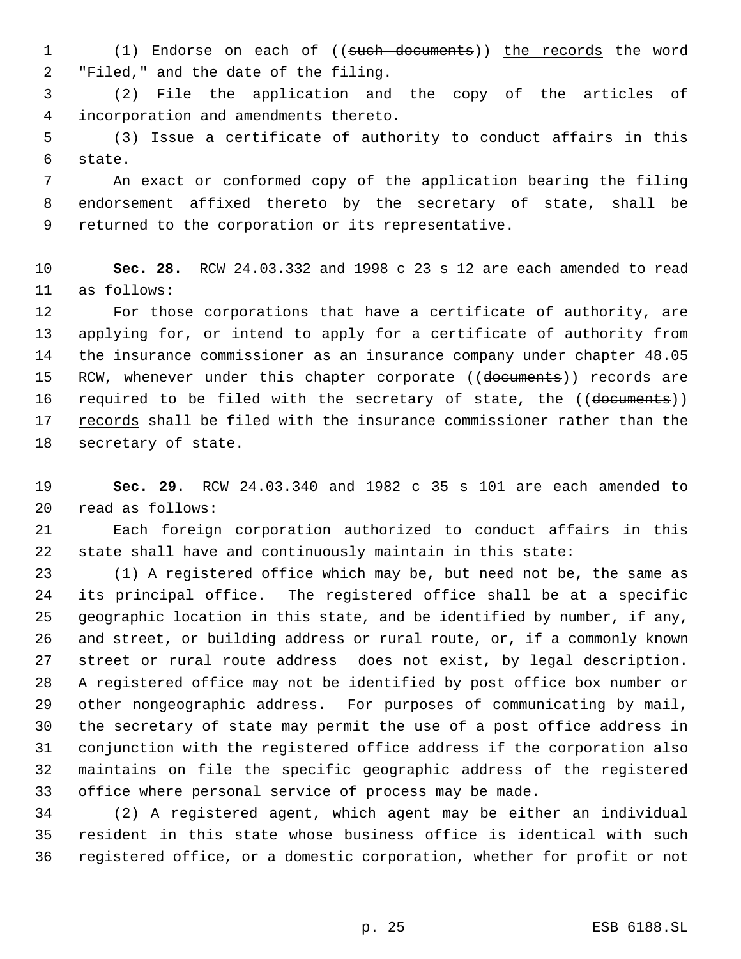1 (1) Endorse on each of ((such documents)) the records the word "Filed," and the date of the filing.

 (2) File the application and the copy of the articles of incorporation and amendments thereto.

 (3) Issue a certificate of authority to conduct affairs in this state.

 An exact or conformed copy of the application bearing the filing endorsement affixed thereto by the secretary of state, shall be returned to the corporation or its representative.

 **Sec. 28.** RCW 24.03.332 and 1998 c 23 s 12 are each amended to read as follows:

 For those corporations that have a certificate of authority, are applying for, or intend to apply for a certificate of authority from the insurance commissioner as an insurance company under chapter 48.05 15 RCW, whenever under this chapter corporate ((documents)) records are 16 required to be filed with the secretary of state, the ((documents)) 17 records shall be filed with the insurance commissioner rather than the secretary of state.

 **Sec. 29.** RCW 24.03.340 and 1982 c 35 s 101 are each amended to read as follows:

 Each foreign corporation authorized to conduct affairs in this state shall have and continuously maintain in this state:

 (1) A registered office which may be, but need not be, the same as its principal office. The registered office shall be at a specific geographic location in this state, and be identified by number, if any, and street, or building address or rural route, or, if a commonly known street or rural route address does not exist, by legal description. A registered office may not be identified by post office box number or other nongeographic address. For purposes of communicating by mail, the secretary of state may permit the use of a post office address in conjunction with the registered office address if the corporation also maintains on file the specific geographic address of the registered office where personal service of process may be made.

 (2) A registered agent, which agent may be either an individual resident in this state whose business office is identical with such registered office, or a domestic corporation, whether for profit or not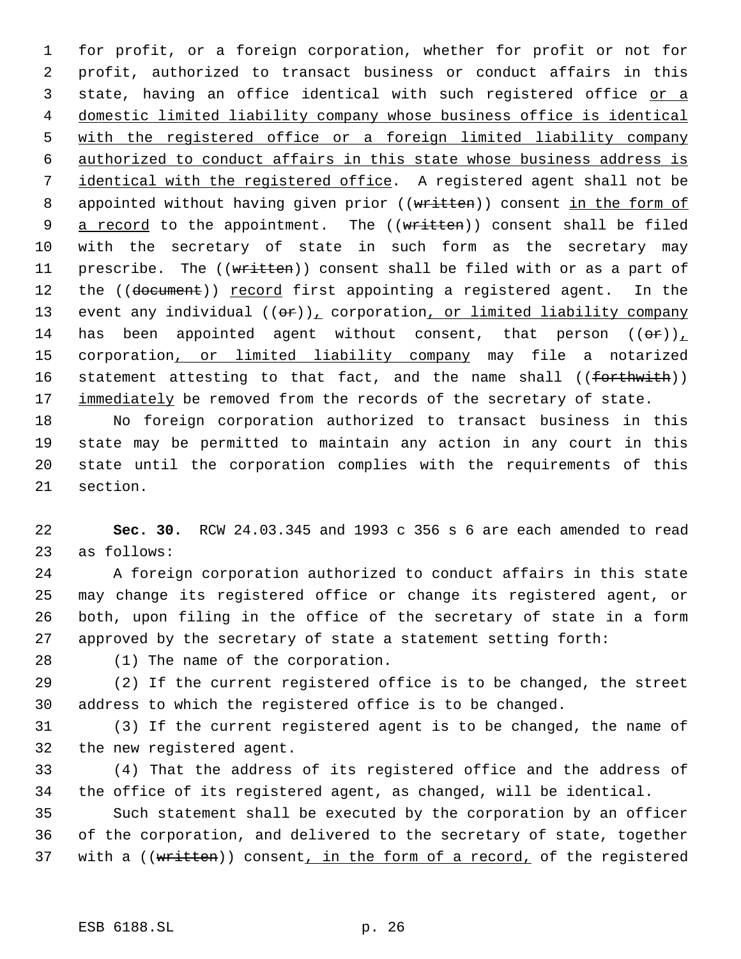for profit, or a foreign corporation, whether for profit or not for profit, authorized to transact business or conduct affairs in this 3 state, having an office identical with such registered office or a domestic limited liability company whose business office is identical with the registered office or a foreign limited liability company authorized to conduct affairs in this state whose business address is identical with the registered office. A registered agent shall not be 8 appointed without having given prior ((written)) consent in the form of 9 a record to the appointment. The ((written)) consent shall be filed with the secretary of state in such form as the secretary may 11 prescribe. The ((written)) consent shall be filed with or as a part of 12 the ((document)) record first appointing a registered agent. In the 13 event any individual  $((\theta \cdot r)_L)$  corporation, or limited liability company 14 has been appointed agent without consent, that person  $((\theta \cdot \mathbf{r}))$ 15 corporation, or limited liability company may file a notarized 16 statement attesting to that fact, and the name shall ((forthwith)) 17 immediately be removed from the records of the secretary of state.

 No foreign corporation authorized to transact business in this state may be permitted to maintain any action in any court in this state until the corporation complies with the requirements of this section.

 **Sec. 30.** RCW 24.03.345 and 1993 c 356 s 6 are each amended to read as follows:

 A foreign corporation authorized to conduct affairs in this state may change its registered office or change its registered agent, or both, upon filing in the office of the secretary of state in a form approved by the secretary of state a statement setting forth:

(1) The name of the corporation.

 (2) If the current registered office is to be changed, the street address to which the registered office is to be changed.

 (3) If the current registered agent is to be changed, the name of the new registered agent.

 (4) That the address of its registered office and the address of the office of its registered agent, as changed, will be identical.

 Such statement shall be executed by the corporation by an officer of the corporation, and delivered to the secretary of state, together 37 with a ((written)) consent, in the form of a record, of the registered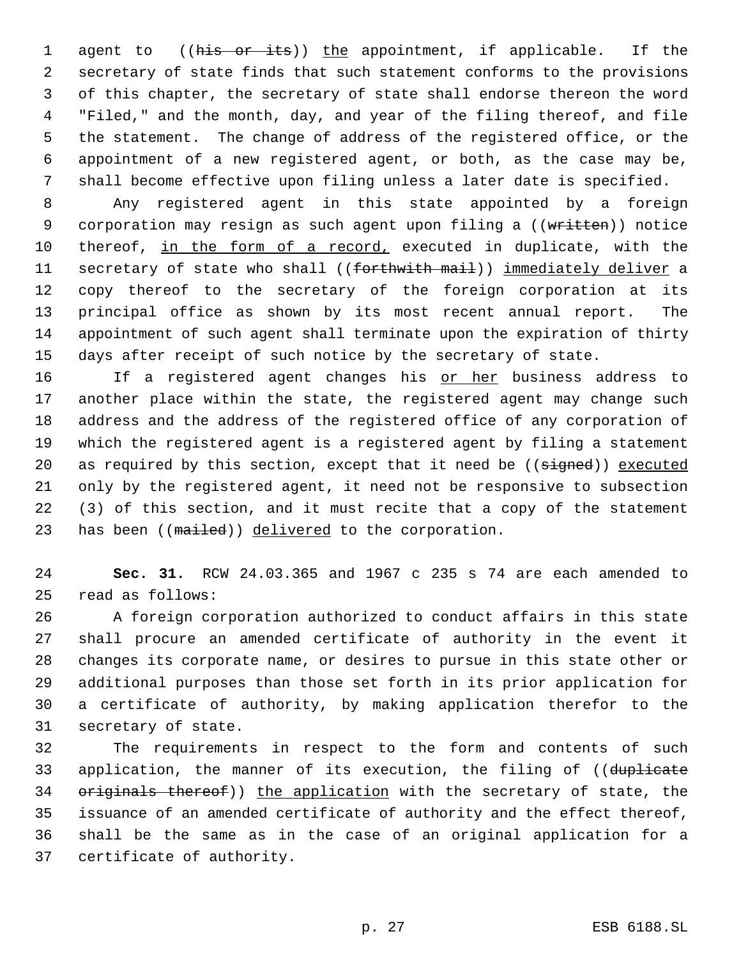1 agent to ((his or its)) the appointment, if applicable. If the secretary of state finds that such statement conforms to the provisions of this chapter, the secretary of state shall endorse thereon the word "Filed," and the month, day, and year of the filing thereof, and file the statement. The change of address of the registered office, or the appointment of a new registered agent, or both, as the case may be, shall become effective upon filing unless a later date is specified.

 Any registered agent in this state appointed by a foreign 9 corporation may resign as such agent upon filing a ((written)) notice 10 thereof, in the form of a record, executed in duplicate, with the 11 secretary of state who shall ((forthwith mail)) immediately deliver a copy thereof to the secretary of the foreign corporation at its principal office as shown by its most recent annual report. The appointment of such agent shall terminate upon the expiration of thirty days after receipt of such notice by the secretary of state.

16 11 If a registered agent changes his or her business address to another place within the state, the registered agent may change such address and the address of the registered office of any corporation of which the registered agent is a registered agent by filing a statement 20 as required by this section, except that it need be ((signed)) executed only by the registered agent, it need not be responsive to subsection (3) of this section, and it must recite that a copy of the statement 23 has been ((mailed)) delivered to the corporation.

 **Sec. 31.** RCW 24.03.365 and 1967 c 235 s 74 are each amended to read as follows:

 A foreign corporation authorized to conduct affairs in this state shall procure an amended certificate of authority in the event it changes its corporate name, or desires to pursue in this state other or additional purposes than those set forth in its prior application for a certificate of authority, by making application therefor to the secretary of state.

 The requirements in respect to the form and contents of such 33 application, the manner of its execution, the filing of ((duplicate 34 originals thereof)) the application with the secretary of state, the issuance of an amended certificate of authority and the effect thereof, shall be the same as in the case of an original application for a certificate of authority.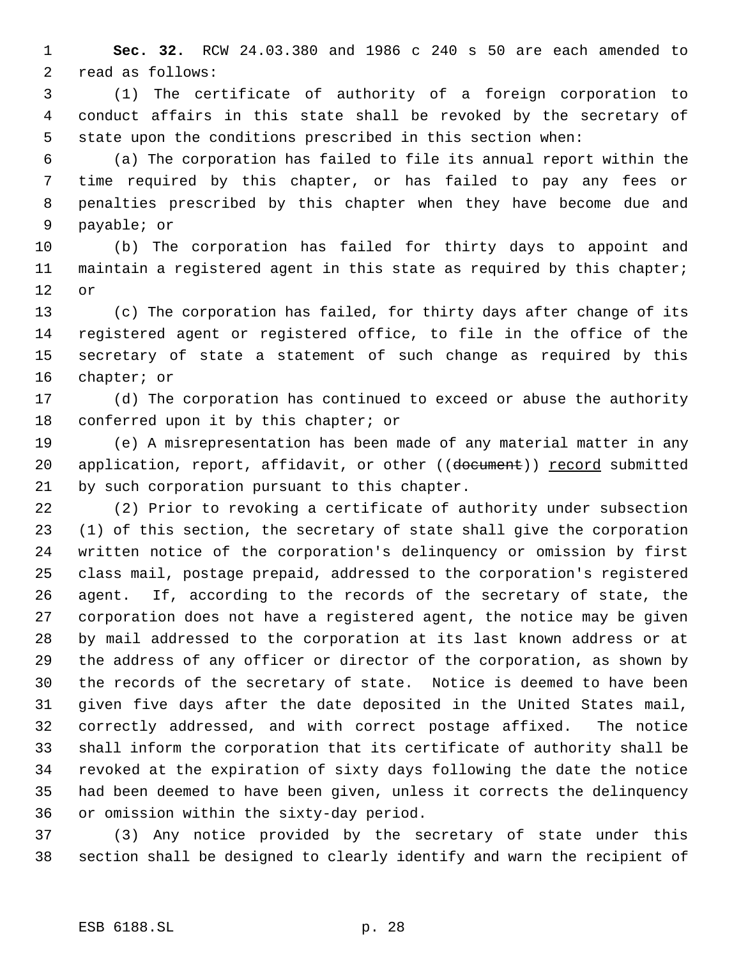**Sec. 32.** RCW 24.03.380 and 1986 c 240 s 50 are each amended to read as follows:

 (1) The certificate of authority of a foreign corporation to conduct affairs in this state shall be revoked by the secretary of state upon the conditions prescribed in this section when:

 (a) The corporation has failed to file its annual report within the time required by this chapter, or has failed to pay any fees or penalties prescribed by this chapter when they have become due and payable; or

 (b) The corporation has failed for thirty days to appoint and maintain a registered agent in this state as required by this chapter; or

 (c) The corporation has failed, for thirty days after change of its registered agent or registered office, to file in the office of the secretary of state a statement of such change as required by this chapter; or

 (d) The corporation has continued to exceed or abuse the authority 18 conferred upon it by this chapter; or

 (e) A misrepresentation has been made of any material matter in any 20 application, report, affidavit, or other ((document)) record submitted by such corporation pursuant to this chapter.

 (2) Prior to revoking a certificate of authority under subsection (1) of this section, the secretary of state shall give the corporation written notice of the corporation's delinquency or omission by first class mail, postage prepaid, addressed to the corporation's registered agent. If, according to the records of the secretary of state, the corporation does not have a registered agent, the notice may be given by mail addressed to the corporation at its last known address or at the address of any officer or director of the corporation, as shown by the records of the secretary of state. Notice is deemed to have been given five days after the date deposited in the United States mail, correctly addressed, and with correct postage affixed. The notice shall inform the corporation that its certificate of authority shall be revoked at the expiration of sixty days following the date the notice had been deemed to have been given, unless it corrects the delinquency or omission within the sixty-day period.

 (3) Any notice provided by the secretary of state under this section shall be designed to clearly identify and warn the recipient of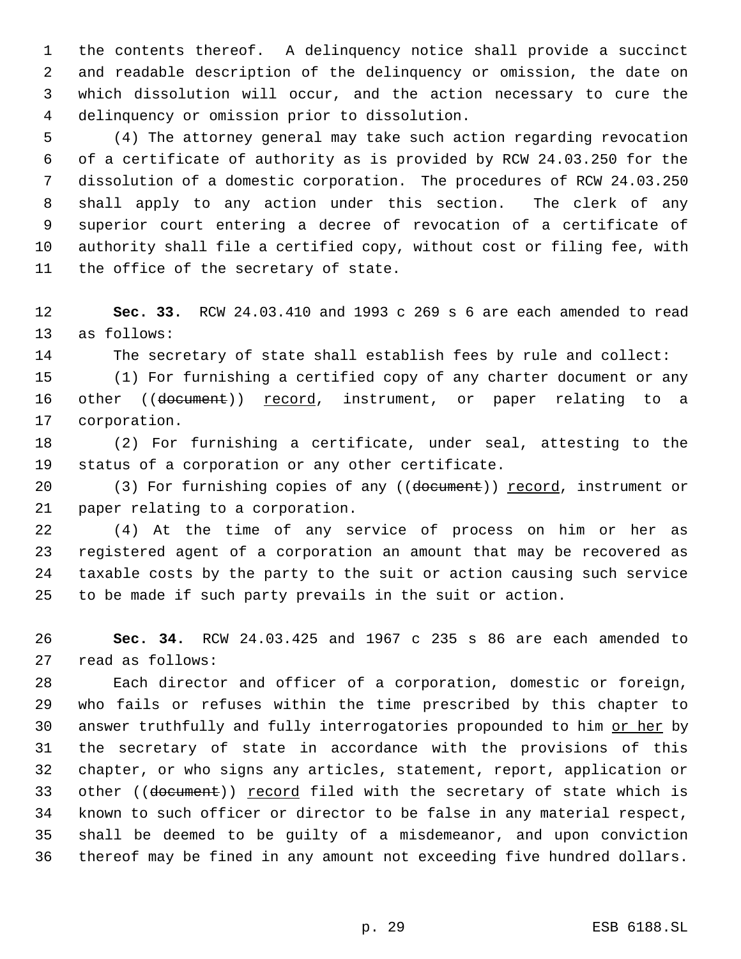the contents thereof. A delinquency notice shall provide a succinct and readable description of the delinquency or omission, the date on which dissolution will occur, and the action necessary to cure the delinquency or omission prior to dissolution.

 (4) The attorney general may take such action regarding revocation of a certificate of authority as is provided by RCW 24.03.250 for the dissolution of a domestic corporation. The procedures of RCW 24.03.250 shall apply to any action under this section. The clerk of any superior court entering a decree of revocation of a certificate of authority shall file a certified copy, without cost or filing fee, with the office of the secretary of state.

 **Sec. 33.** RCW 24.03.410 and 1993 c 269 s 6 are each amended to read as follows:

The secretary of state shall establish fees by rule and collect:

 (1) For furnishing a certified copy of any charter document or any 16 other ((document)) record, instrument, or paper relating to a corporation.

 (2) For furnishing a certificate, under seal, attesting to the status of a corporation or any other certificate.

20 (3) For furnishing copies of any ((document)) record, instrument or paper relating to a corporation.

 (4) At the time of any service of process on him or her as registered agent of a corporation an amount that may be recovered as taxable costs by the party to the suit or action causing such service to be made if such party prevails in the suit or action.

 **Sec. 34.** RCW 24.03.425 and 1967 c 235 s 86 are each amended to read as follows:

 Each director and officer of a corporation, domestic or foreign, who fails or refuses within the time prescribed by this chapter to 30 answer truthfully and fully interrogatories propounded to him or her by the secretary of state in accordance with the provisions of this chapter, or who signs any articles, statement, report, application or 33 other ((document)) record filed with the secretary of state which is known to such officer or director to be false in any material respect, shall be deemed to be guilty of a misdemeanor, and upon conviction thereof may be fined in any amount not exceeding five hundred dollars.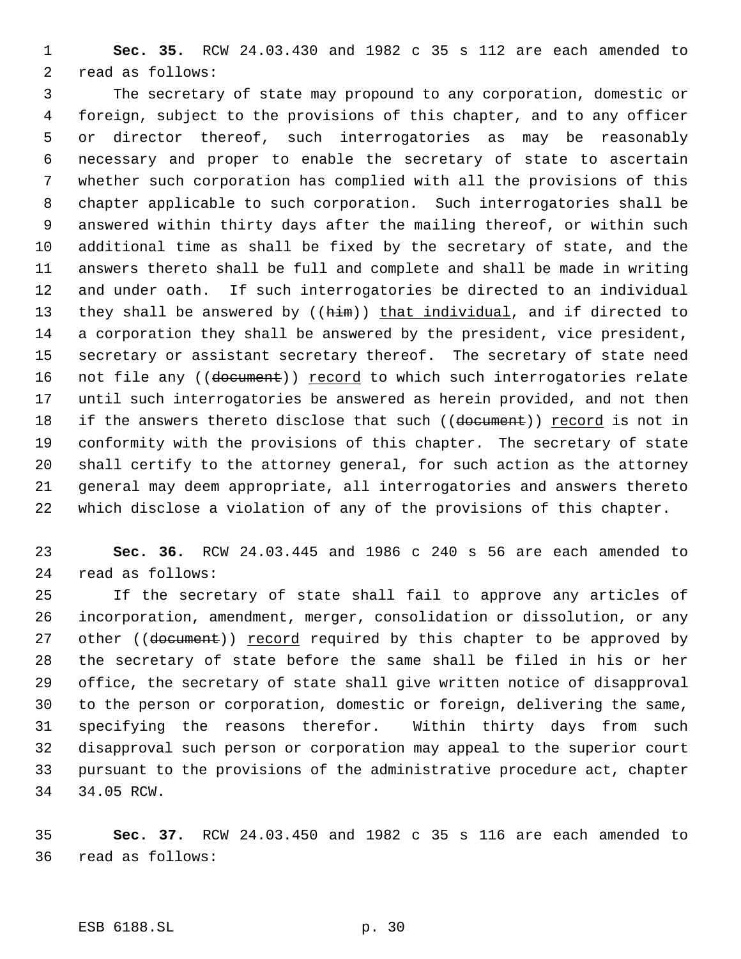**Sec. 35.** RCW 24.03.430 and 1982 c 35 s 112 are each amended to read as follows:

 The secretary of state may propound to any corporation, domestic or foreign, subject to the provisions of this chapter, and to any officer or director thereof, such interrogatories as may be reasonably necessary and proper to enable the secretary of state to ascertain whether such corporation has complied with all the provisions of this chapter applicable to such corporation. Such interrogatories shall be answered within thirty days after the mailing thereof, or within such additional time as shall be fixed by the secretary of state, and the answers thereto shall be full and complete and shall be made in writing and under oath. If such interrogatories be directed to an individual 13 they shall be answered by ((him)) that individual, and if directed to a corporation they shall be answered by the president, vice president, secretary or assistant secretary thereof. The secretary of state need 16 not file any ((document)) record to which such interrogatories relate until such interrogatories be answered as herein provided, and not then 18 if the answers thereto disclose that such ((document)) record is not in conformity with the provisions of this chapter. The secretary of state shall certify to the attorney general, for such action as the attorney general may deem appropriate, all interrogatories and answers thereto which disclose a violation of any of the provisions of this chapter.

 **Sec. 36.** RCW 24.03.445 and 1986 c 240 s 56 are each amended to read as follows:

 If the secretary of state shall fail to approve any articles of incorporation, amendment, merger, consolidation or dissolution, or any 27 other ((document)) record required by this chapter to be approved by the secretary of state before the same shall be filed in his or her office, the secretary of state shall give written notice of disapproval to the person or corporation, domestic or foreign, delivering the same, specifying the reasons therefor. Within thirty days from such disapproval such person or corporation may appeal to the superior court pursuant to the provisions of the administrative procedure act, chapter 34.05 RCW.

 **Sec. 37.** RCW 24.03.450 and 1982 c 35 s 116 are each amended to read as follows: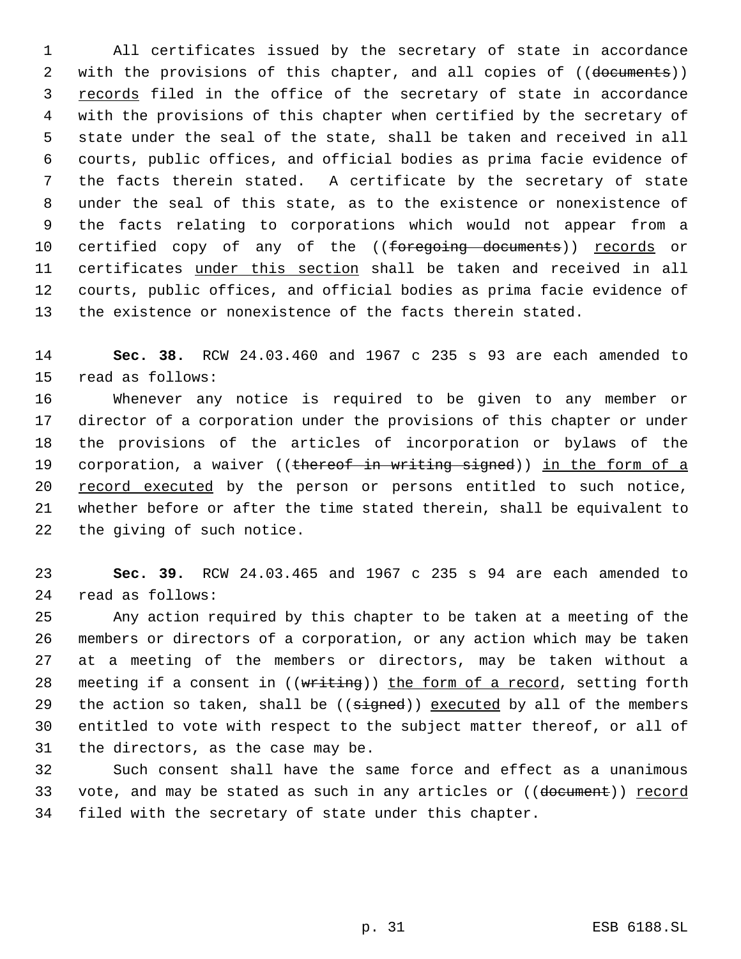All certificates issued by the secretary of state in accordance 2 with the provisions of this chapter, and all copies of ((documents)) records filed in the office of the secretary of state in accordance with the provisions of this chapter when certified by the secretary of state under the seal of the state, shall be taken and received in all courts, public offices, and official bodies as prima facie evidence of the facts therein stated. A certificate by the secretary of state under the seal of this state, as to the existence or nonexistence of the facts relating to corporations which would not appear from a 10 certified copy of any of the ((foregoing documents)) records or 11 certificates under this section shall be taken and received in all courts, public offices, and official bodies as prima facie evidence of the existence or nonexistence of the facts therein stated.

 **Sec. 38.** RCW 24.03.460 and 1967 c 235 s 93 are each amended to read as follows:

 Whenever any notice is required to be given to any member or director of a corporation under the provisions of this chapter or under the provisions of the articles of incorporation or bylaws of the 19 corporation, a waiver ((thereof in writing signed)) in the form of a 20 record executed by the person or persons entitled to such notice, whether before or after the time stated therein, shall be equivalent to the giving of such notice.

 **Sec. 39.** RCW 24.03.465 and 1967 c 235 s 94 are each amended to read as follows:

 Any action required by this chapter to be taken at a meeting of the members or directors of a corporation, or any action which may be taken at a meeting of the members or directors, may be taken without a 28 meeting if a consent in ((writing)) the form of a record, setting forth 29 the action so taken, shall be  $((s\text{-}speed))$  executed by all of the members entitled to vote with respect to the subject matter thereof, or all of the directors, as the case may be.

 Such consent shall have the same force and effect as a unanimous 33 vote, and may be stated as such in any articles or ((document)) record filed with the secretary of state under this chapter.